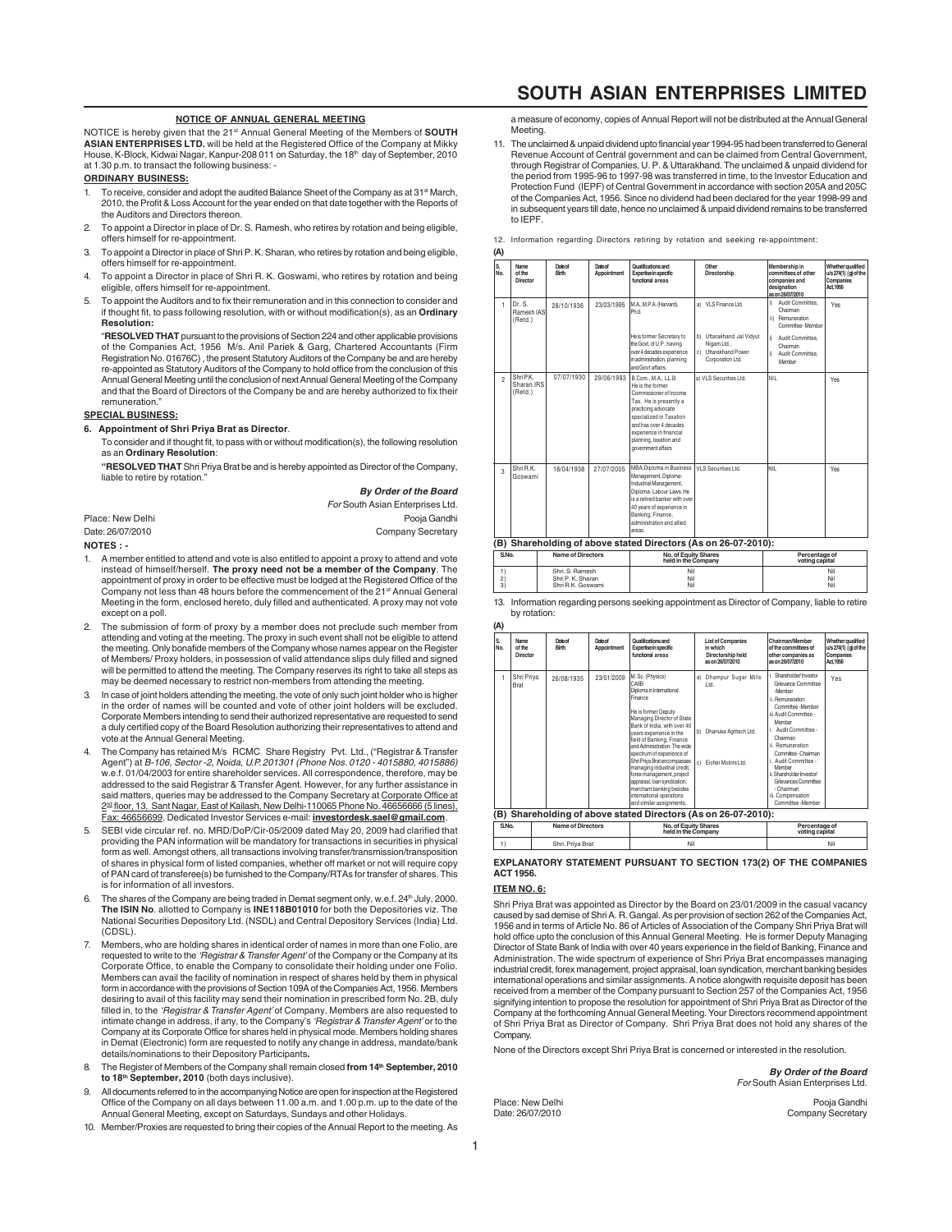# **NOTICE OF ANNUAL GENERAL MEETING**

NOTICE is hereby given that the 21st Annual General Meeting of the Members of **SOUTH ASIAN ENTERPRISES LTD.** will be held at the Registered Office of the Company at Mikky House, K-Block, Kidwai Nagar, Kanpur-208 011 on Saturday, the 18th day of September, 2010<br>at 1.30 p.m. to transact the following business: -

# **ORDINARY BUSINESS:**

- To receive, consider and adopt the audited Balance Sheet of the Company as at 31<sup>st</sup> March 2010, the Profit & Loss Account for the year ended on that date together with the Reports of the Auditors and Directors thereon.
- 2. To appoint a Director in place of Dr. S. Ramesh, who retires by rotation and being eligible offers himself for re-appointment.
- 3. To appoint a Director in place of Shri P. K. Sharan, who retires by rotation and being eligible, offers himself for re-appointment.
- 4. To appoint a Director in place of Shri R. K. Goswami, who retires by rotation and being eligible, offers himself for re-appointment.
- 5. To appoint the Auditors and to fix their remuneration and in this connection to consider and if thought fit, to pass following resolution, with or without modification(s), as an **Ordinary Resolution:**

"**RESOLVED THAT** pursuant to the provisions of Section 224 and other applicable provisions of the Companies Act, 1956 M/s. Anil Pariek & Garg, Chartered Accountants (Firm Registration No. 01676C) , the present Statutory Auditors of the Company be and are hereby re-appointed as Statutory Auditors of the Company to hold office from the conclusion of this Annual General Meeting until the conclusion of next Annual General Meeting of the Company and that the Board of Directors of the Company be and are hereby authorized to fix their remuneration.

### **SPECIAL BUSINESS:**

#### **6. Appointment of Shri Priya Brat as Director**.

To consider and if thought fit, to pass with or without modification(s), the following resolution as an **Ordinary Resolution**:

**"RESOLVED THAT** Shri Priya Brat be and is hereby appointed as Director of the Company, liable to retire by rotation."

**By Order of the Board**

|                  | For South Asian Enterprises Ltd. |
|------------------|----------------------------------|
| Place: New Delhi | Pooja Gandhi                     |
| Date: 26/07/2010 | Company Secretary                |
| NOTES : -        |                                  |

- 1. A member entitled to attend and vote is also entitled to appoint a proxy to attend and vote instead of himself/herself. **The proxy need not be a member of the Company**. The appointment of proxy in order to be effective must be lodged at the Registered Office of the Company not less than 48 hours before the commencement of the 21<sup>st</sup> Annual General Meeting in the form, enclosed hereto, duly filled and authenticated. A proxy may not vote except on a poll.
- 2. The submission of form of proxy by a member does not preclude such member from attending and voting at the meeting. The proxy in such event shall not be eligible to attend the meeting. Only bonafide members of the Company whose names appear on the Register of Members/ Proxy holders, in possession of valid attendance slips duly filled and signed will be permitted to attend the meeting. The Company reserves its right to take all steps as may be deemed necessary to restrict non-members from attending the meeting.
- In case of joint holders attending the meeting, the vote of only such joint holder who is higher in the order of names will be counted and vote of other joint holders will be excluded. Corporate Members intending to send their authorized representative are requested to send a duly certified copy of the Board Resolution authorizing their representatives to attend and vote at the Annual General Meeting.
- The Company has retained M/s RCMC Share Registry Pvt. Ltd., ("Registrar & Transfer Agent") at B-106, Sector -2, Noida, U.P. 201301 (Phone Nos. 0120 - 4015880, 4015886) w.e.f. 01/04/2003 for entire shareholder services. All correspondence, therefore, may be addressed to the said Registrar & Transfer Agent. However, for any further assistance in said matters, queries may be addressed to the Company Secretary at <u>Corporate Office at</u><br>2<u>™ floor, 13, Sant Nagar, East of Kailash, New Delhi-110065 Phone No. 46656666 (5 lines).</u><br><u>Fax: 46656699</u>. Dedicated Investor Servi
- 5. SEBI vide circular ref. no. MRD/DoP/Cir-05/2009 dated May 20, 2009 had clarified that providing the PAN information will be mandatory for transactions in securities in physical form as well. Amongst others, all transactions involving transfer/transmission/transposition of shares in physical form of listed companies, whether off market or not will require copy of PAN card of transferee(s) be furnished to the Company/RTAs for transfer of shares. This is for information of all investors.
- 6. The shares of the Company are being traded in Demat segment only, w.e.f. 24<sup>th</sup> July, 2000.<br>**The ISIN No**. allotted to Company is **INE118B01010** for both the Depositories viz. The National Securities Depository Ltd. (NSDL) and Central Depository Services (India) Ltd. (CDSL).
- Members, who are holding shares in identical order of names in more than one Folio, are requested to write to the *'Registrar & Transfer Agent'* of the Company or the Company at its<br>Corporate Office, to enable the Company to consolidate their holding under one Folio. Members can avail the facility of nomination in respect of shares held by them in physical form in accordance with the provisions of Section 109A of the Companies Act, 1956. Members desiring to avail of this facility may send their nomination in prescribed form No. 2B, duly filled in, to the 'Registrar & Transfer Agent' of Company. Members are also requested to intimate change in address, if any, to the Company's *'Registrar & Transfer Agent'* or to the<br>Company at its Corporate Office for shares held in physical mode. Members holding shares in Demat (Electronic) form are requested to notify any change in address, mandate/bank details/nominations to their Depository Participants**.**
- 8. The Register of Members of the Company shall remain closed **from 14th September, 2010 to 18th September, 2010** (both days inclusive).
- All documents referred to in the accompanying Notice are open for inspection at the Registered Office of the Company on all days between 11.00 a.m. and 1.00 p.m. up to the date of the Annual General Meeting, except on Saturdays, Sundays and other Holidays.
- 10. Member/Proxies are requested to bring their copies of the Annual Report to the meeting. As

# **SOUTH ASIAN ENTERPRISES LIMITED**

a measure of economy, copies of Annual Report will not be distributed at the Annual General Meeting.

11. The unclaimed & unpaid dividend upto financial year 1994-95 had been transferred to General Revenue Account of Central government and can be claimed from Central Government, through Registrar of Companies, U. P. & Uttarakhand. The unclaimed & unpaid dividend for the period from 1995-96 to 1997-98 was transferred in time, to the Investor Education and Protection Fund (IEPF) of Central Government in accordance with section 205A and 205C of the Companies Act, 1956. Since no dividend had been declared for the year 1998-99 and in subsequent years till date, hence no unclaimed & unpaid dividend remains to be transferred to IEPF.

12. Information regarding Directors retiring by rotation and seeking re-appointment:

| (A)                                                                         |                                    |                   |                       |                                                                                                                                                                                                                                                    |                                                                |                                                                                          |                                                                      |
|-----------------------------------------------------------------------------|------------------------------------|-------------------|-----------------------|----------------------------------------------------------------------------------------------------------------------------------------------------------------------------------------------------------------------------------------------------|----------------------------------------------------------------|------------------------------------------------------------------------------------------|----------------------------------------------------------------------|
| S.<br>No.                                                                   | Name<br>of the<br>Director         | Datect<br>Birth   | Datect<br>Appointment | Qualifications and<br>Expertise in specific<br>functional areas                                                                                                                                                                                    | Other<br>Directorship                                          | Membership in<br>committees of other<br>companies and<br>designation<br>as on 26/07/2010 | Whether qualified<br>u/s 274(1) (a) of the<br>Companies<br>Act. 1956 |
| 1                                                                           | Dr. S.<br>Ramesh IAS<br>(Retd.)    | 28/10/1936        | 23/03/1995            | M.A., M.P.A. (Harvard).<br>Phd<br>He is former Secretary to                                                                                                                                                                                        | a) VI S Finance I td.<br>b) Uttarakhand Jal Vidvut             | Audit Committee.<br>ñ.<br>Chairman<br>ii) Remuneration<br>Committee-Member               | <b>Yes</b>                                                           |
|                                                                             |                                    |                   |                       | the Govt. of U.P. having<br>over 4 decades experience<br>in administration, planning<br>and Govt affairs.                                                                                                                                          | Nigam Ltd<br>c) Uttarakhand Power<br>Corporation Ltd.          | Audit Committee.<br>Chairman<br>Audit Committee.<br>ñ.<br>Member                         |                                                                      |
| $\mathfrak{p}$                                                              | Shri P.K.<br>Sharan.IRS<br>(Retd.) | 07/07/1930        | 29/06/1993            | B.Com., M.A., LL.B.<br>He is the former<br>Commissioner of Income<br>Tax. He is presently a<br>practicing advocate<br>specialized in Taxation<br>and has over 4 decades<br>experience in financial<br>planning, taxation and<br>oovernment affairs | a) VLS Securities Ltd.                                         | NII                                                                                      | Yes                                                                  |
| 3                                                                           | Shri R.K.<br>Goswami               | 18/04/1938        | 27/07/2005            | <b>MBA.Diploma in Business</b><br>Management, Diploma-<br>Industrial Management.<br>Dinloma-Labour Laws He<br>is a retired banker with over<br>40 years of experience in<br>Banking, Finance,<br>administration and allied<br>areas.               | VI S Securities Ltd.                                           | NII                                                                                      | Yes                                                                  |
|                                                                             |                                    |                   |                       |                                                                                                                                                                                                                                                    | (B) Shareholding of above stated Directors (As on 26-07-2010): |                                                                                          |                                                                      |
| S.No.                                                                       |                                    | Name of Directors |                       | No. of Equity Shares<br>held in the Company                                                                                                                                                                                                        |                                                                | Percentage of<br>voting capital                                                          |                                                                      |
| Shri, S. Ramesh<br>1)<br>2)<br>Shri P. K. Sharan<br>3)<br>Shri R.K. Goswami |                                    | Nil<br>Nil<br>Nil |                       | Nil<br>Nil<br>Nil                                                                                                                                                                                                                                  |                                                                |                                                                                          |                                                                      |

13. Information regarding persons seeking appointment as Director of Company, liable to retire by rotation: **(A)**

| $\sqrt{2}$ |                            |                          |                       |                                                                                                                                                                                                                                                                                                                                                                                                                                                                                          |                |                                                                                   |                                                                                                                                                                                                                                                                                                                                                              |                                                                      |
|------------|----------------------------|--------------------------|-----------------------|------------------------------------------------------------------------------------------------------------------------------------------------------------------------------------------------------------------------------------------------------------------------------------------------------------------------------------------------------------------------------------------------------------------------------------------------------------------------------------------|----------------|-----------------------------------------------------------------------------------|--------------------------------------------------------------------------------------------------------------------------------------------------------------------------------------------------------------------------------------------------------------------------------------------------------------------------------------------------------------|----------------------------------------------------------------------|
| S.<br>No.  | Name<br>of the<br>Director | Date of<br>Birth         | Datect<br>Appointment | Qualifications and<br>Expertise in specific<br>functional areas                                                                                                                                                                                                                                                                                                                                                                                                                          |                | <b>List of Companies</b><br>in which<br>Directorship held<br>as on 26/07/2010     | Chairman/Member<br>of the committees of<br>other companies as<br>as on 26/07/2010                                                                                                                                                                                                                                                                            | Whether qualified<br>u/s 274(1) (g) of the<br>Companies<br>Act. 1956 |
| 1          | Shri Priya<br>Brat         | 26/08/1935               | 23/01/2009            | M. Sc. (Physics)<br>CAIIB<br>Diploma in International<br>Finance<br>He is former Deputy<br>Managing Director of State<br>Bank of India, with over 40<br>vears experience in the<br>field of Banking, Finance<br>and Administration. The wide<br>spectrum of experience of<br>Shri Priya Brat encompasses<br>managing industrial credit,<br>forex management, project<br>appraisal, loan syndication,<br>merchant banking besides<br>international operations<br>and similar assignments. | a)<br>b)<br>c) | <b>Dhampur Sugar Mills</b><br>ht I<br>Dhanuka Agritech Ltd.<br>Ficher Motors Ltd. | Shareholder/Investor<br>Grievance Committee<br>-Member<br>ii Remuneration<br>Committee-Member<br>iii. Audit Committee -<br>Member<br>Audit Committee -<br>Chairman<br>ii. Remuneration<br>Committee - Chairman<br>i. Audit Committee -<br>Member<br>ii. Shareholder Investor/<br>Grievanoes Committee<br>- Chairman<br>iii. Compensation<br>Committee-Member | Yes                                                                  |
| (B)        |                            |                          |                       | Shareholding of above stated Directors (As on 26-07-2010):                                                                                                                                                                                                                                                                                                                                                                                                                               |                |                                                                                   |                                                                                                                                                                                                                                                                                                                                                              |                                                                      |
| S.No.      |                            | <b>Name of Directors</b> |                       | No. of Equity Shares<br>held in the Company                                                                                                                                                                                                                                                                                                                                                                                                                                              |                |                                                                                   | Percentage of<br>voting capital                                                                                                                                                                                                                                                                                                                              |                                                                      |
| 1)         |                            | Shri. Priya Brat         |                       |                                                                                                                                                                                                                                                                                                                                                                                                                                                                                          | Nil            |                                                                                   | Nil                                                                                                                                                                                                                                                                                                                                                          |                                                                      |

**EXPLANATORY STATEMENT PURSUANT TO SECTION 173(2) OF THE COMPANIES ACT 1956.**

# **ITEM NO. 6:**

Shri Priya Brat was appointed as Director by the Board on 23/01/2009 in the casual vacancy caused by sad demise of Shri A. R. Gangal. As per provision of section 262 of the Companies Act, 1956 and in terms of Article No. 86 of Articles of Association of the Company Shri Priya Brat will hold office upto the conclusion of this Annual General Meeting. He is former Deputy Managing Director of State Bank of India with over 40 years experience in the field of Banking, Finance and Administration. The wide spectrum of experience of Shri Priya Brat encompasses managing industrial credit, forex management, project appraisal, loan syndication, merchant banking besides international operations and similar assignments. A notice alongwith requisite deposit has been received from a member of the Company pursuant to Section 257 of the Companies Act, 1956 signifying intention to propose the resolution for appointment of Shri Priya Brat as Director of the Company at the forthcoming Annual General Meeting. Your Directors recommend appointment of Shri Priya Brat as Director of Company. Shri Priya Brat does not hold any shares of the Company.

None of the Directors except Shri Priya Brat is concerned or interested in the resolution.

**By Order of the Board** For South Asian Enterprises Ltd.

Place: New Delhi **Provinsiya Community Community Pools** Gandhi<br>Poste: 26/07/2010 **Pools** Company Secretary Company Secretary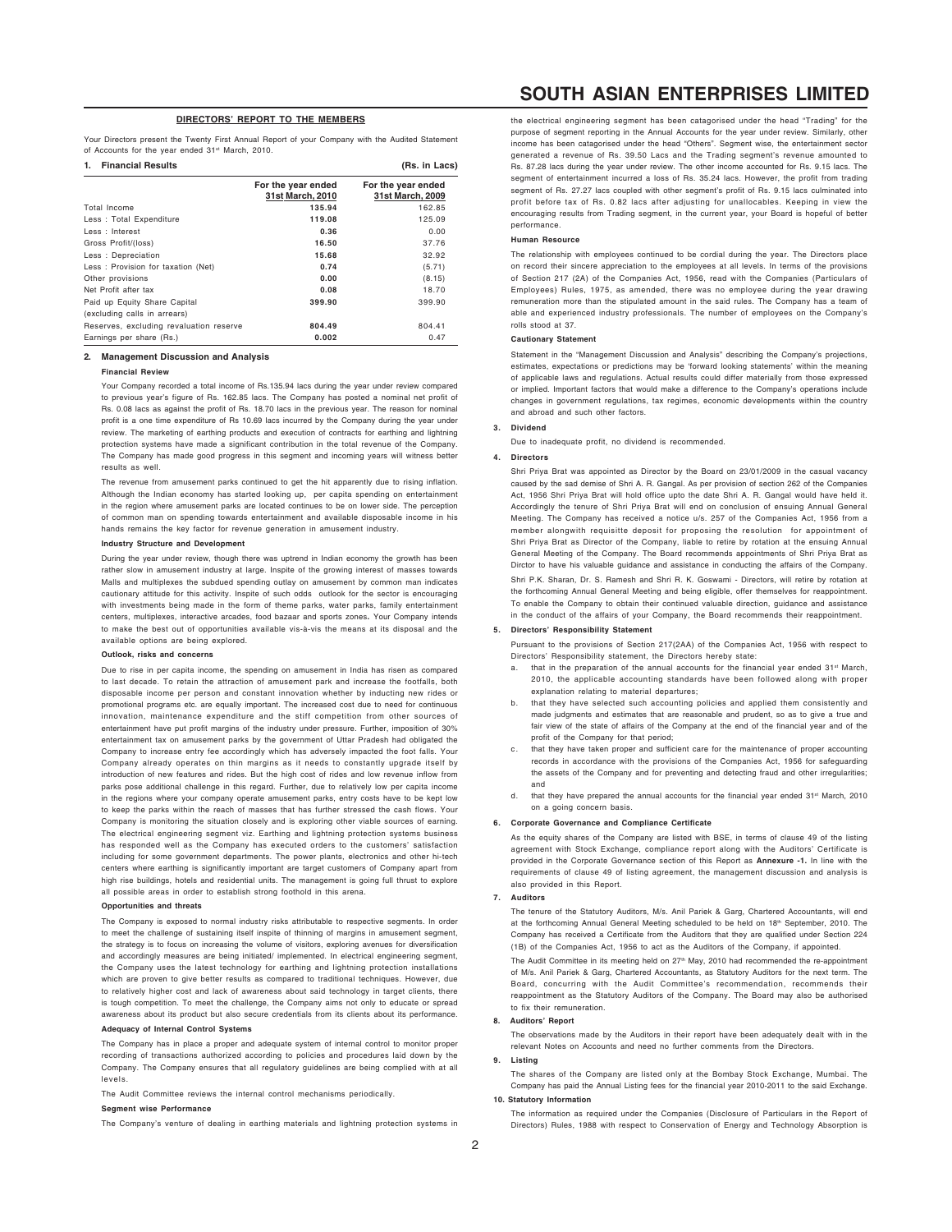# **DIRECTORS' REPORT TO THE MEMBERS**

Your Directors present the Twenty First Annual Report of your Company with the Audited Statement of Accounts for the year ended 31st March, 2010.

| <b>Financial Results</b><br>1.          |                                        | (Rs. in Lacs)                          |  |  |
|-----------------------------------------|----------------------------------------|----------------------------------------|--|--|
|                                         | For the year ended<br>31st March, 2010 | For the year ended<br>31st March, 2009 |  |  |
| Total Income                            | 135.94                                 | 162.85                                 |  |  |
| Less: Total Expenditure                 | 119.08                                 | 125.09                                 |  |  |
| Less : Interest                         | 0.36                                   | 0.00                                   |  |  |
| Gross Profit/(loss)                     | 16.50                                  | 37.76                                  |  |  |
| Less: Depreciation                      | 15.68                                  | 32.92                                  |  |  |
| Less: Provision for taxation (Net)      | 0.74                                   | (5.71)                                 |  |  |
| Other provisions                        | 0.00                                   | (8.15)                                 |  |  |
| Net Profit after tax                    | 0.08                                   | 18.70                                  |  |  |
| Paid up Equity Share Capital            | 399.90                                 | 399.90                                 |  |  |
| (excluding calls in arrears)            |                                        |                                        |  |  |
| Reserves, excluding revaluation reserve | 804.49                                 | 804.41                                 |  |  |
| Earnings per share (Rs.)                | 0.002                                  | 0.47                                   |  |  |

#### **2. Management Discussion and Analysis**

#### **Financial Review**

Your Company recorded a total income of Rs.135.94 lacs during the year under review compared to previous year's figure of Rs. 162.85 lacs. The Company has posted a nominal net profit of Rs. 0.08 lacs as against the profit of Rs. 18.70 lacs in the previous year. The reason for nominal profit is a one time expenditure of Rs 10.69 lacs incurred by the Company during the year under review. The marketing of earthing products and execution of contracts for earthing and lightning protection systems have made a significant contribution in the total revenue of the Company. The Company has made good progress in this segment and incoming years will witness better results as well.

The revenue from amusement parks continued to get the hit apparently due to rising inflation. Although the Indian economy has started looking up, per capita spending on entertainment in the region where amusement parks are located continues to be on lower side. The perception of common man on spending towards entertainment and available disposable income in his hands remains the key factor for revenue generation in amusement industry.

### **Industry Structure and Development**

During the year under review, though there was uptrend in Indian economy the growth has been rather slow in amusement industry at large. Inspite of the growing interest of masses towards Malls and multiplexes the subdued spending outlay on amusement by common man indicates cautionary attitude for this activity. Inspite of such odds outlook for the sector is encouraging with investments being made in the form of theme parks, water parks, family entertainment centers, multiplexes, interactive arcades, food bazaar and sports zones**.** Your Company intends to make the best out of opportunities available vis-à-vis the means at its disposal and the available options are being explored.

#### **Outlook, risks and concerns**

Due to rise in per capita income, the spending on amusement in India has risen as compared to last decade. To retain the attraction of amusement park and increase the footfalls, both disposable income per person and constant innovation whether by inducting new rides or promotional programs etc. are equally important. The increased cost due to need for continuous innovation, maintenance expenditure and the stiff competition from other sources of entertainment have put profit margins of the industry under pressure. Further, imposition of 30% entertainment tax on amusement parks by the government of Uttar Pradesh had obligated the Company to increase entry fee accordingly which has adversely impacted the foot falls. Your Company already operates on thin margins as it needs to constantly upgrade itself by introduction of new features and rides. But the high cost of rides and low revenue inflow from parks pose additional challenge in this regard. Further, due to relatively low per capita income in the regions where your company operate amusement parks, entry costs have to be kept low to keep the parks within the reach of masses that has further stressed the cash flows. Your Company is monitoring the situation closely and is exploring other viable sources of earning. The electrical engineering segment viz. Earthing and lightning protection systems business has responded well as the Company has executed orders to the customers' satisfaction including for some government departments. The power plants, electronics and other hi-tech centers where earthing is significantly important are target customers of Company apart from high rise buildings, hotels and residential units. The management is going full thrust to explore all possible areas in order to establish strong foothold in this arena.

### **Opportunities and threats**

The Company is exposed to normal industry risks attributable to respective segments. In order to meet the challenge of sustaining itself inspite of thinning of margins in amusement segment, the strategy is to focus on increasing the volume of visitors, exploring avenues for diversification and accordingly measures are being initiated/ implemented. In electrical engineering segment, the Company uses the latest technology for earthing and lightning protection installations which are proven to give better results as compared to traditional techniques. However, due to relatively higher cost and lack of awareness about said technology in target clients, there is tough competition. To meet the challenge, the Company aims not only to educate or spread awareness about its product but also secure credentials from its clients about its performance.

#### **Adequacy of Internal Control Systems**

The Company has in place a proper and adequate system of internal control to monitor proper recording of transactions authorized according to policies and procedures laid down by the Company. The Company ensures that all regulatory guidelines are being complied with at all levels.

The Audit Committee reviews the internal control mechanisms periodically.

#### **Segment wise Performance**

The Company's venture of dealing in earthing materials and lightning protection systems in

# **SOUTH ASIAN ENTERPRISES LIMITED**

the electrical engineering segment has been catagorised under the head "Trading" for the purpose of segment reporting in the Annual Accounts for the year under review. Similarly, other income has been catagorised under the head "Others". Segment wise, the entertainment sector generated a revenue of Rs. 39.50 Lacs and the Trading segment's revenue amounted to Rs. 87.28 lacs during the year under review. The other income accounted for Rs. 9.15 lacs. The segment of entertainment incurred a loss of Rs. 35.24 lacs. However, the profit from trading segment of Rs. 27.27 lacs coupled with other segment's profit of Rs. 9.15 lacs culminated into profit before tax of Rs. 0.82 lacs after adjusting for unallocables. Keeping in view the encouraging results from Trading segment, in the current year, your Board is hopeful of better performance.

#### **Human Resource**

The relationship with employees continued to be cordial during the year. The Directors place on record their sincere appreciation to the employees at all levels. In terms of the provisions of Section 217 (2A) of the Companies Act, 1956, read with the Companies (Particulars of Employees) Rules, 1975, as amended, there was no employee during the year drawing remuneration more than the stipulated amount in the said rules. The Company has a team of able and experienced industry professionals. The number of employees on the Company's rolls stood at 37.

#### **Cautionary Statement**

Statement in the "Management Discussion and Analysis" describing the Company's projections, estimates, expectations or predictions may be 'forward looking statements' within the meaning of applicable laws and regulations. Actual results could differ materially from those expressed or implied. Important factors that would make a difference to the Company's operations include changes in government regulations, tax regimes, economic developments within the country and abroad and such other factors.

#### **3. Dividend**

Due to inadequate profit, no dividend is recommended.

#### **4. Directors**

Shri Priya Brat was appointed as Director by the Board on 23/01/2009 in the casual vacancy caused by the sad demise of Shri A. R. Gangal. As per provision of section 262 of the Companies Act, 1956 Shri Priya Brat will hold office upto the date Shri A. R. Gangal would have held it. Accordingly the tenure of Shri Priya Brat will end on conclusion of ensuing Annual General Meeting. The Company has received a notice u/s. 257 of the Companies Act, 1956 from a member alongwith requisitte deposit for proposing the resolution for appointment of Shri Priya Brat as Director of the Company, liable to retire by rotation at the ensuing Annual General Meeting of the Company. The Board recommends appointments of Shri Priya Brat as Dirctor to have his valuable guidance and assistance in conducting the affairs of the Company.

Shri P.K. Sharan, Dr. S. Ramesh and Shri R. K. Goswami - Directors, will retire by rotation at the forthcoming Annual General Meeting and being eligible, offer themselves for reappointment. To enable the Company to obtain their continued valuable direction, guidance and assistance in the conduct of the affairs of your Company, the Board recommends their reappointment.

### **5. Directors' Responsibility Statement**

Pursuant to the provisions of Section 217(2AA) of the Companies Act, 1956 with respect to Directors' Responsibility statement, the Directors hereby state:

- that in the preparation of the annual accounts for the financial year ended 31st March, 2010, the applicable accounting standards have been followed along with proper explanation relating to material departures;
- that they have selected such accounting policies and applied them consistently and made judgments and estimates that are reasonable and prudent, so as to give a true and fair view of the state of affairs of the Company at the end of the financial year and of the profit of the Company for that period;
- c. that they have taken proper and sufficient care for the maintenance of proper accounting records in accordance with the provisions of the Companies Act, 1956 for safeguarding the assets of the Company and for preventing and detecting fraud and other irregularities; and
- that they have prepared the annual accounts for the financial year ended 31<sup>st</sup> March, 2010 on a going concern basis.

#### **6. Corporate Governance and Compliance Certificate**

As the equity shares of the Company are listed with BSE, in terms of clause 49 of the listing agreement with Stock Exchange, compliance report along with the Auditors' Certificate is provided in the Corporate Governance section of this Report as **Annexure -1.** In line with the requirements of clause 49 of listing agreement, the management discussion and analysis is also provided in this Report.

#### **7. Auditors**

The tenure of the Statutory Auditors, M/s. Anil Pariek & Garg, Chartered Accountants, will end at the forthcoming Annual General Meeting scheduled to be held on 18<sup>th</sup> September, 2010. The Company has received a Certificate from the Auditors that they are qualified under Section 224 (1B) of the Companies Act, 1956 to act as the Auditors of the Company, if appointed.

The Audit Committee in its meeting held on 27<sup>th</sup> May, 2010 had recommended the re-appointment of M/s. Anil Pariek & Garg, Chartered Accountants, as Statutory Auditors for the next term. The Board, concurring with the Audit Committee's recommendation, recommends their reappointment as the Statutory Auditors of the Company. The Board may also be authorised to fix their remuneration.

#### **8. Auditors' Report**

The observations made by the Auditors in their report have been adequately dealt with in the relevant Notes on Accounts and need no further comments from the Directors.

### **9. Listing**

The shares of the Company are listed only at the Bombay Stock Exchange, Mumbai. The Company has paid the Annual Listing fees for the financial year 2010-2011 to the said Exchange. **10. Statutory Information**

The information as required under the Companies (Disclosure of Particulars in the Report of Directors) Rules, 1988 with respect to Conservation of Energy and Technology Absorption is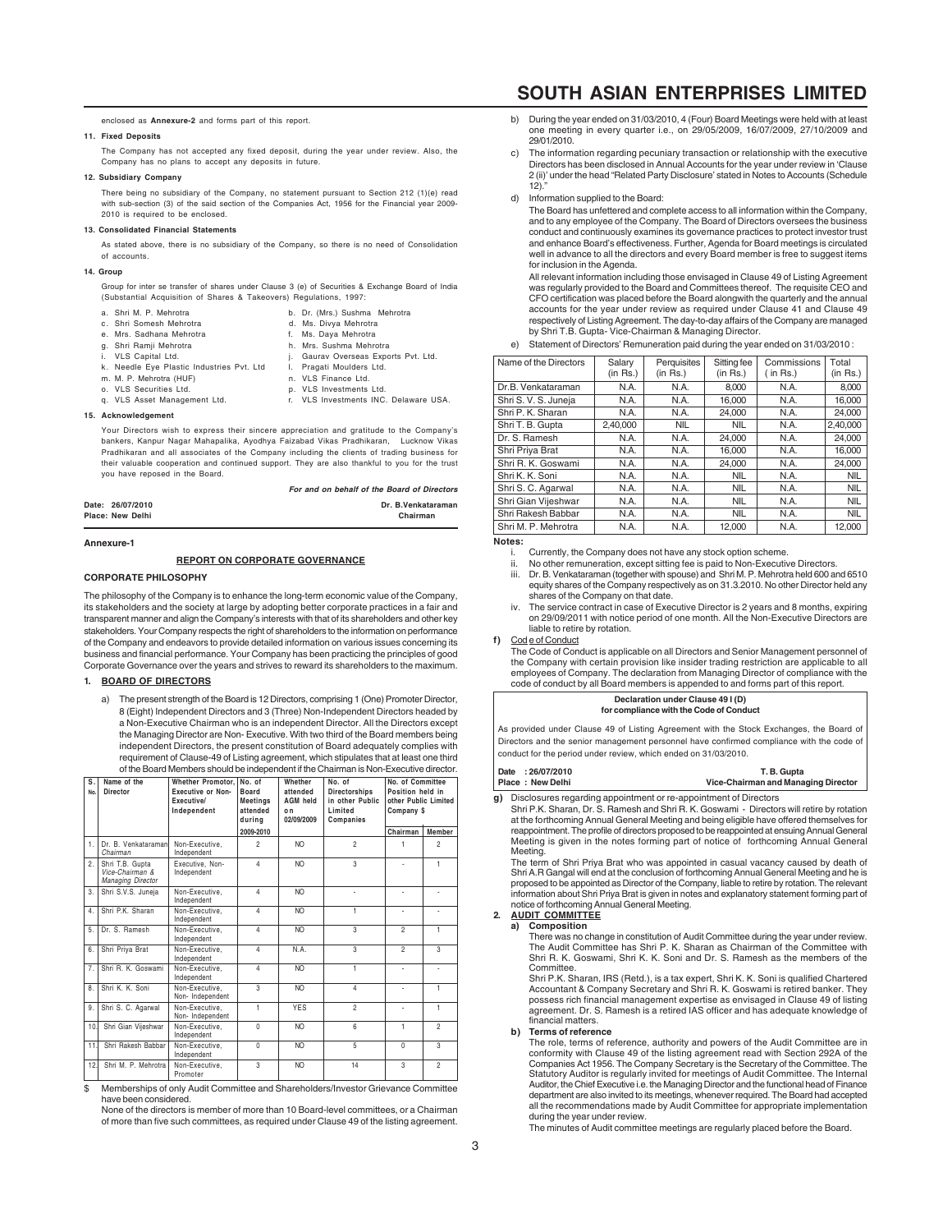#### enclosed as **Annexure-2** and forms part of this report.

# **11. Fixed Deposits**

The Company has not accepted any fixed deposit, during the year under review. Also, the Company has no plans to accept any deposits in future.

# **12. Subsidiary Company**

There being no subsidiary of the Company, no statement pursuant to Section 212 (1)(e) read with sub-section (3) of the said section of the Companies Act, 1956 for the Financial year 2009- 2010 is required to be enclosed.

#### **13. Consolidated Financial Statements**

As stated above, there is no subsidiary of the Company, so there is no need of Consolidation of accounts.

### **14. Group**

Group for inter se transfer of shares under Clause 3 (e) of Securities & Exchange Board of India (Substantial Acquisition of Shares & Takeovers) Regulations, 1997:

| a. Shri M. P. Mehrotra                     |    | b. Dr. (Mrs.) Sushma Mehrotra         |
|--------------------------------------------|----|---------------------------------------|
| c. Shri Somesh Mehrotra                    |    | d. Ms. Divya Mehrotra                 |
| e. Mrs. Sadhana Mehrotra                   |    | f. Ms. Daya Mehrotra                  |
| g. Shri Ramji Mehrotra                     |    | h. Mrs. Sushma Mehrotra               |
| i. VLS Capital Ltd.                        | ι. | Gaurav Overseas Exports Pvt. Ltd.     |
| k. Needle Eye Plastic Industries Pvt. Ltd. | Ι. | Pragati Moulders Ltd.                 |
| m. M. P. Mehrotra (HUF)                    |    | n. VLS Finance Ltd.                   |
| o. VLS Securities Ltd.                     |    | p. VLS Investments Ltd.               |
| g. VLS Asset Management Ltd.               |    | r. VLS Investments INC. Delaware USA. |
| 15. Acknowledgement                        |    |                                       |

Your Directors wish to express their sincere appreciation and gratitude to the Company's bankers, Kanpur Nagar Mahapalika, Ayodhya Faizabad Vikas Pradhikaran, Lucknow Vikas Pradhikaran and all associates of the Company including the clients of trading business for their valuable cooperation and continued support. They are also thankful to you for the trust you have reposed in the Board.

|                  | <b>For and on behalf of the Board of Directors</b> |
|------------------|----------------------------------------------------|
| Date: 26/07/2010 | Dr. B. Venkataraman                                |
| Place: New Delhi | Chairman                                           |
|                  |                                                    |

#### **Annexure-1**

#### **REPORT ON CORPORATE GOVERNANCE**

#### **CORPORATE PHILOSOPHY**

The philosophy of the Company is to enhance the long-term economic value of the Company, its stakeholders and the society at large by adopting better corporate practices in a fair and transparent manner and align the Company's interests with that of its shareholders and other key stakeholders. Your Company respects the right of shareholders to the information on performance of the Company and endeavors to provide detailed information on various issues concerning its business and financial performance. Your Company has been practicing the principles of good Corporate Governance over the years and strives to reward its shareholders to the maximum.

### **1. BOARD OF DIRECTORS**

a) The present strength of the Board is 12 Directors, comprising 1 (One) Promoter Director, 8 (Eight) Independent Directors and 3 (Three) Non-Independent Directors headed by a Non-Executive Chairman who is an independent Director. All the Directors except the Managing Director are Non- Executive. With two third of the Board members being independent Directors, the present constitution of Board adequately complies with requirement of Clause-49 of Listing agreement, which stipulates that at least one third of the Board Members should be independent if the Chairman is Non-Executive director.

| s.<br>No.        | Name of the<br><b>Director</b>                          | <b>Whether Promotor.</b><br><b>Executive or Non-</b><br>Executive/<br>Independent | No. of<br>Board<br><b>Meetings</b><br>attended<br>durina | Whether<br>attended<br><b>AGM held</b><br>o n<br>02/09/2009 | No. of<br>Directorships<br>in other Public<br>Limited<br>Companies | No. of Committee<br>Position held in<br>other Public Limited<br>Company \$ |                         |
|------------------|---------------------------------------------------------|-----------------------------------------------------------------------------------|----------------------------------------------------------|-------------------------------------------------------------|--------------------------------------------------------------------|----------------------------------------------------------------------------|-------------------------|
|                  |                                                         |                                                                                   | 2009-2010                                                |                                                             |                                                                    | Chairman                                                                   | Member                  |
| 1.               | Dr. B. Venkataraman<br>Chairman                         | Non-Executive.<br>Independent                                                     | $\overline{2}$                                           | N <sub>O</sub>                                              | $\overline{2}$                                                     | 1                                                                          | $\overline{a}$          |
| $\mathfrak{D}$   | Shri T.B. Gupta<br>Vice-Chairman &<br>Managing Director | Executive, Non-<br>Independent                                                    | $\Delta$                                                 | NO <sub>1</sub>                                             | 3                                                                  |                                                                            | 1                       |
| 3.               | Shri S.V.S. Juneia                                      | Non-Executive.<br>Independent                                                     | $\Delta$                                                 | N <sub>O</sub>                                              |                                                                    |                                                                            |                         |
| $\overline{4}$ . | Shri P.K. Sharan                                        | Non-Executive.<br>Independent                                                     | $\Delta$                                                 | N <sub>O</sub>                                              | 1                                                                  | ٠                                                                          |                         |
| 5.               | Dr. S. Ramesh                                           | Non-Executive.<br>Independent                                                     | $\overline{4}$                                           | N <sub>O</sub>                                              | $\overline{\mathbf{3}}$                                            | $\overline{2}$                                                             | Ŧ                       |
| 6.               | Shri Priya Brat                                         | Non-Executive.<br>Independent                                                     | $\Delta$                                                 | N.A.                                                        | $\overline{\mathbf{3}}$                                            | $\mathfrak{p}$                                                             | $\overline{\mathbf{3}}$ |
| $\overline{7}$   | Shri R. K. Goswami                                      | Non-Executive.<br>Independent                                                     | $\Delta$                                                 | N <sub>O</sub>                                              | 1                                                                  | ä,                                                                         |                         |
| 8.               | Shri K. K. Soni                                         | Non-Executive.<br>Non-Independent                                                 | 3                                                        | N <sub>O</sub>                                              | $\overline{a}$                                                     |                                                                            | 1                       |
| 9.               | Shri S. C. Agarwal                                      | Non-Executive.<br>Non-Independent                                                 | 1                                                        | <b>YES</b>                                                  | $\overline{2}$                                                     |                                                                            | 1                       |
| 10 <sub>1</sub>  | Shri Gian Vijeshwar                                     | Non-Executive.<br>Independent                                                     | $\theta$                                                 | N <sub>O</sub>                                              | $6\overline{6}$                                                    | 1                                                                          | $\overline{2}$          |
| 11.              | Shri Rakesh Babbar                                      | Non-Executive.<br>Independent                                                     | $\theta$                                                 | N <sub>O</sub>                                              | 5                                                                  | $\Omega$                                                                   | 3                       |
| 12.              | Shri M. P. Mehrotra                                     | Non-Executive.<br>Promoter                                                        | $\overline{\mathbf{3}}$                                  | N <sub>O</sub>                                              | 14                                                                 | $\overline{\mathbf{3}}$                                                    | $\overline{2}$          |

Memberships of only Audit Committee and Shareholders/Investor Grievance Committee have been considered.

None of the directors is member of more than 10 Board-level committees, or a Chairman of more than five such committees, as required under Clause 49 of the listing agreement.

# **SOUTH ASIAN ENTERPRISES LIMITED**

- b) During the year ended on 31/03/2010, 4 (Four) Board Meetings were held with at least one meeting in every quarter i.e., on 29/05/2009, 16/07/2009, 27/10/2009 and 29/01/2010.
- c) The information regarding pecuniary transaction or relationship with the executive Directors has been disclosed in Annual Accounts for the year under review in 'Clause 2 (ii)' under the head "Related Party Disclosure' stated in Notes to Accounts (Schedule 12)."
- d) Information supplied to the Board:
	- The Board has unfettered and complete access to all information within the Company, and to any employee of the Company. The Board of Directors oversees the business conduct and continuously examines its governance practices to protect investor trust and enhance Board's effectiveness. Further, Agenda for Board meetings is circulated well in advance to all the directors and every Board member is free to suggest items for inclusion in the Agenda.

All relevant information including those envisaged in Clause 49 of Listing Agreement was regularly provided to the Board and Committees thereof. The requisite CEO and CFO certification was placed before the Board alongwith the quarterly and the annual accounts for the year under review as required under Clause 41 and Clause 49 respectively of Listing Agreement. The day-to-day affairs of the Company are managed by Shri T.B. Gupta- Vice-Chairman & Managing Director.

| Name of the Directors | Salary        | Perquisites   | Sitting fee | Commissions | Total      |
|-----------------------|---------------|---------------|-------------|-------------|------------|
|                       | $(in$ Rs. $)$ | $(in$ Rs. $)$ | (in Rs.)    | ( in Rs.)   | (in Rs.)   |
| Dr.B. Venkataraman    | N.A.          | N.A.          | 8,000       | N.A.        | 8,000      |
| Shri S. V. S. Juneja  | N.A.          | N.A.          | 16.000      | N.A.        | 16,000     |
| Shri P. K. Sharan     | N.A.          | N.A.          | 24.000      | N.A.        | 24.000     |
| Shri T. B. Gupta      | 2.40.000      | <b>NIL</b>    | <b>NIL</b>  | N.A.        | 2.40.000   |
| Dr. S. Ramesh         | N.A.          | N.A.          | 24.000      | N.A.        | 24.000     |
| Shri Priva Brat       | N.A.          | N.A.          | 16.000      | N.A.        | 16,000     |
| Shri R. K. Goswami    | N.A.          | N.A.          | 24.000      | N.A.        | 24.000     |
| Shri K. K. Soni       | N.A.          | N.A.          | <b>NIL</b>  | N.A.        | <b>NIL</b> |
| Shri S. C. Agarwal    | N.A.          | N.A.          | <b>NIL</b>  | N.A.        | <b>NIL</b> |
| Shri Gian Vijeshwar   | N.A.          | N.A.          | <b>NIL</b>  | N.A.        | <b>NIL</b> |
| Shri Rakesh Babbar    | N.A.          | N.A.          | <b>NIL</b>  | N.A.        | <b>NIL</b> |
| Shri M. P. Mehrotra   | N.A.          | N.A.          | 12.000      | N.A.        | 12.000     |

Statement of Directors' Remuneration paid during the year ended on 31/03/2010 :

# **Notes:**

- i. Currently, the Company does not have any stock option scheme.
- ii. No other remuneration, except sitting fee is paid to Non-Executive Directors.
- Dr. B. Venkataraman (together with spouse) and Shri M. P. Mehrotra held 600 and 6510 equity shares of the Company respectively as on 31.3.2010. No other Director held any shares of the Company on that date.
- iv. The service contract in case of Executive Director is 2 years and 8 months, expiring on 29/09/2011 with notice period of one month. All the Non-Executive Directors are liable to retire by rotation.

**f)** Cod e of Conduct

The Code of Conduct is applicable on all Directors and Senior Management personnel of the Company with certain provision like insider trading restriction are applicable to all employees of Company. The declaration from Managing Director of compliance with the code of conduct by all Board members is appended to and forms part of this report.

#### **Declaration under Clause 49 I (D) for compliance with the Code of Conduct**

As provided under Clause 49 of Listing Agreement with the Stock Exchanges, the Board of Directors and the senior management personnel have confirmed compliance with the code of conduct for the period under review, which ended on 31/03/2010.

| Date: 26/07/2010 | T.B. Gupta                          |
|------------------|-------------------------------------|
| Place: New Delhi | Vice-Chairman and Managing Director |

**g)** Disclosures regarding appointment or re-appointment of Directors Shri P.K. Sharan, Dr. S. Ramesh and Shri R. K. Goswami - Directors will retire by rotation at the forthcoming Annual General Meeting and being eligible have offered themselves for reappointment. The profile of directors proposed to be reappointed at ensuing Annual General Meeting is given in the notes forming part of notice of forthcoming Annual General Meeting.

The term of Shri Priya Brat who was appointed in casual vacancy caused by death of Shri A.R Gangal will end at the conclusion of forthcoming Annual General Meeting and he is proposed to be appointed as Director of the Company, liable to retire by rotation. The relevant information about Shri Priya Brat is given in notes and explanatory statement forming part of notice of forthcoming Annual General Meeting.

# **2. AUDIT COMMITTEE**

#### **a) Composition**

There was no change in constitution of Audit Committee during the year under review. The Audit Committee has Shri P. K. Sharan as Chairman of the Committee with Shri R. K. Goswami, Shri K. K. Soni and Dr. S. Ramesh as the members of the

Committee. Shri P.K. Sharan, IRS (Retd.), is a tax expert, Shri K. K. Soni is qualified Chartered Accountant & Company Secretary and Shri R. K. Goswami is retired banker. They possess rich financial management expertise as envisaged in Clause 49 of listing agreement. Dr. S. Ramesh is a retired IAS officer and has adequate knowledge of financial matters.

#### **b) Terms of reference**

The role, terms of reference, authority and powers of the Audit Committee are in conformity with Clause 49 of the listing agreement read with Section 292A of the Companies Act 1956. The Company Secretary is the Secretary of the Committee. The Statutory Auditor is regularly invited for meetings of Audit Committee. The Internal Auditor, the Chief Executive i.e. the Managing Director and the functional head of Finance department are also invited to its meetings, whenever required. The Board had accepted all the recommendations made by Audit Committee for appropriate implementation during the year under review.

The minutes of Audit committee meetings are regularly placed before the Board.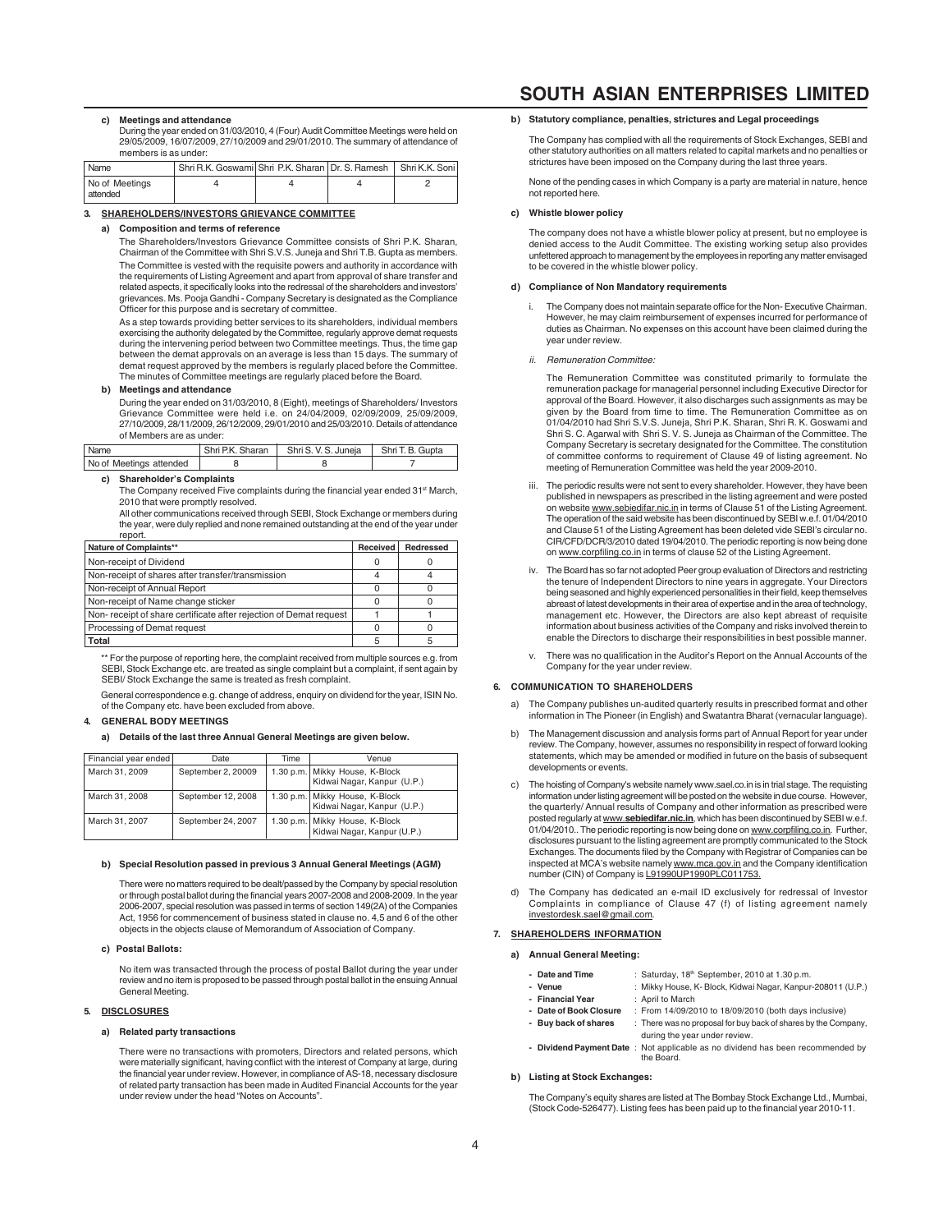#### **c) Meetings and attendance**

During the year ended on 31/03/2010, 4 (Four) Audit Committee Meetings were held on 29/05/2009, 16/07/2009, 27/10/2009 and 29/01/2010. The summary of attendance of members is as under:

| <sup>1</sup> Name            | Shri R.K. Goswami Shri P.K. Sharan I Dr. S. Ramesh   Shri K.K. Soni |  |  |
|------------------------------|---------------------------------------------------------------------|--|--|
| No of Meetings<br>I attended |                                                                     |  |  |

### **3. SHAREHOLDERS/INVESTORS GRIEVANCE COMMITTEE**

### **a) Composition and terms of reference**

The Shareholders/Investors Grievance Committee consists of Shri P.K. Sharan, Chairman of the Committee with Shri S.V.S. Juneja and Shri T.B. Gupta as members. The Committee is vested with the requisite powers and authority in accordance with the requirements of Listing Agreement and apart from approval of share transfer and related aspects, it specifically looks into the redressal of the shareholders and investors' grievances. Ms. Pooja Gandhi - Company Secretary is designated as the Compliance Officer for this purpose and is secretary of committee.

As a step towards providing better services to its shareholders, individual members exercising the authority delegated by the Committee, regularly approve demat requests during the intervening period between two Committee meetings. Thus, the time gap between the demat approvals on an average is less than 15 days. The summary of demat request approved by the members is regularly placed before the Committee. The minutes of Committee meetings are regularly placed before the Board.

#### **b) Meetings and attendance**

During the year ended on 31/03/2010, 8 (Eight), meetings of Shareholders/ Investors Grievance Committee were held i.e. on 24/04/2009, 02/09/2009, 25/09/2009, 27/10/2009, 28/11/2009, 26/12/2009, 29/01/2010 and 25/03/2010. Details of attendance of Members are as under:

| Name                    | Shri P.K. Sharan   Shri S.V. S. Juneja | Shri T. B. Gupta |
|-------------------------|----------------------------------------|------------------|
| No of Meetings attended |                                        |                  |

## **c) Shareholder's Complaints**

The Company received Five complaints during the financial year ended  $31<sup>st</sup> March$ . 2010 that were promptly resolved.

All other communications received through SEBI, Stock Exchange or members during the year, were duly replied and none remained outstanding at the end of the year under report.

| Nature of Complaints**                                            | Received | Redressed |
|-------------------------------------------------------------------|----------|-----------|
| Non-receipt of Dividend                                           |          |           |
| Non-receipt of shares after transfer/transmission                 |          |           |
| Non-receipt of Annual Report                                      |          |           |
| Non-receipt of Name change sticker                                |          |           |
| Non-receipt of share certificate after rejection of Demat request |          |           |
| Processing of Demat request                                       |          |           |
| Total                                                             |          |           |

\*\* For the purpose of reporting here, the complaint received from multiple sources e.g. from SEBI, Stock Exchange etc. are treated as single complaint but a complaint, if sent again by SEBI/ Stock Exchange the same is treated as fresh complaint.

General correspondence e.g. change of address, enquiry on dividend for the year, ISIN No. of the Company etc. have been excluded from above.

#### **4. GENERAL BODY MEETINGS**

#### **a) Details of the last three Annual General Meetings are given below.**

| Financial year ended | Date               | Time | Venue                                                           |
|----------------------|--------------------|------|-----------------------------------------------------------------|
| March 31, 2009       | September 2, 20009 |      | 1.30 p.m.   Mikky House, K-Block<br>Kidwai Nagar, Kanpur (U.P.) |
| March 31, 2008       | September 12, 2008 |      | 1.30 p.m.   Mikky House, K-Block<br>Kidwai Nagar, Kanpur (U.P.) |
| March 31, 2007       | September 24, 2007 |      | 1.30 p.m.   Mikky House, K-Block<br>Kidwai Nagar, Kanpur (U.P.) |

#### **b) Special Resolution passed in previous 3 Annual General Meetings (AGM)**

There were no matters required to be dealt/passed by the Company by special resolution or through postal ballot during the financial years 2007-2008 and 2008-2009. In the year 2006-2007, special resolution was passed in terms of section 149(2A) of the Companies Act, 1956 for commencement of business stated in clause no. 4,5 and 6 of the other objects in the objects clause of Memorandum of Association of Company.

#### **c) Postal Ballots:**

No item was transacted through the process of postal Ballot during the year under review and no item is proposed to be passed through postal ballot in the ensuing Annual General Meeting.

# **5. DISCLOSURES**

#### **a) Related party transactions**

There were no transactions with promoters, Directors and related persons, which were materially significant, having conflict with the interest of Company at large, during the financial year under review. However, in compliance of AS-18, necessary disclosure of related party transaction has been made in Audited Financial Accounts for the year under review under the head "Notes on Accounts".

# **SOUTH ASIAN ENTERPRISES LIMITED**

#### **b) Statutory compliance, penalties, strictures and Legal proceedings**

The Company has complied with all the requirements of Stock Exchanges, SEBI and other statutory authorities on all matters related to capital markets and no penalties or strictures have been imposed on the Company during the last three years.

None of the pending cases in which Company is a party are material in nature, hence not reported here.

### **c) Whistle blower policy**

The company does not have a whistle blower policy at present, but no employee is denied access to the Audit Committee. The existing working setup also provides unfettered approach to management by the employees in reporting any matter envisaged to be covered in the whistle blower policy.

#### **d) Compliance of Non Mandatory requirements**

- The Company does not maintain separate office for the Non- Executive Chairman. However, he may claim reimbursement of expenses incurred for performance of duties as Chairman. No expenses on this account have been claimed during the year under review.
- ii. Remuneration Committee:

The Remuneration Committee was constituted primarily to formulate the remuneration package for managerial personnel including Executive Director for approval of the Board. However, it also discharges such assignments as may be given by the Board from time to time. The Remuneration Committee as on 01/04/2010 had Shri S.V.S. Juneja, Shri P.K. Sharan, Shri R. K. Goswami and Shri S. C. Agarwal with Shri S. V. S. Juneja as Chairman of the Committee. The Company Secretary is secretary designated for the Committee. The constitution of committee conforms to requirement of Clause 49 of listing agreement. No meeting of Remuneration Committee was held the year 2009-2010.

- iii. The periodic results were not sent to every shareholder. However, they have been published in newspapers as prescribed in the listing agreement and were posted on website www.sebiedifar.nic.in in terms of Clause 51 of the Listing Agreement. The operation of the said website has been discontinued by SEBI w.e.f. 01/04/2010 and Clause 51 of the Listing Agreement has been deleted vide SEBI's circular no. CIR/CFD/DCR/3/2010 dated 19/04/2010. The periodic reporting is now being done on www.corpfiling.co.in in terms of clause 52 of the Listing Agreement.
- The Board has so far not adopted Peer group evaluation of Directors and restricting the tenure of Independent Directors to nine years in aggregate. Your Directors being seasoned and highly experienced personalities in their field, keep themselves abreast of latest developments in their area of expertise and in the area of technology, management etc. However, the Directors are also kept abreast of requisite information about business activities of the Company and risks involved therein to enable the Directors to discharge their responsibilities in best possible manner.
- There was no qualification in the Auditor's Report on the Annual Accounts of the Company for the year under review.

# **6. COMMUNICATION TO SHAREHOLDERS**

- The Company publishes un-audited quarterly results in prescribed format and other information in The Pioneer (in English) and Swatantra Bharat (vernacular language).
- b) The Management discussion and analysis forms part of Annual Report for year under review. The Company, however, assumes no responsibility in respect of forward looking statements, which may be amended or modified in future on the basis of subsequent developments or events.
- c) The hoisting of Company's website namely www.sael.co.in is in trial stage. The requisting information under listing agreement will be posted on the website in due course. However, the quarterly/ Annual results of Company and other information as prescribed were posted regularly at www.**sebiedifar.nic.in**, which has been discontinued by SEBI w.e.f. 01/04/2010. The periodic reporting is now being done on www.corpfiling.co.in. Further, disclosures pursuant to the listing agreement are promptly communicated to the Stock Exchanges. The documents filed by the Company with Registrar of Companies can be inspected at MCA's website namely www.mca.gov.in and the Company identification number (CIN) of Company is L91990UP1990PLC011753.
- d) The Company has dedicated an e-mail ID exclusively for redressal of Investor Complaints in compliance of Clause 47 (f) of listing agreement namely investordesk.sael@gmail.com.

# **7. SHAREHOLDERS INFORMATION**

# **a) Annual General Meeting:**

- Date and Time : Saturday, 18<sup>th</sup> September, 2010 at 1.30 p.m.
- **Venue** : Mikky House, K- Block, Kidwai Nagar, Kanpur-208011 (U.P.)
- **Financial Year** : April to March<br> **Date of Book Closure** : From 14/09/20
- From 14/09/2010 to 18/09/2010 (both days inclusive) **- Buy back of shares** : There was no proposal for buy back of shares by the Company,
- during the year under review.
- **Dividend Payment Date** : Not applicable as no dividend has been recommended by the Board.

### **b) Listing at Stock Exchanges:**

The Company's equity shares are listed at The Bombay Stock Exchange Ltd., Mumbai, (Stock Code-526477). Listing fees has been paid up to the financial year 2010-11.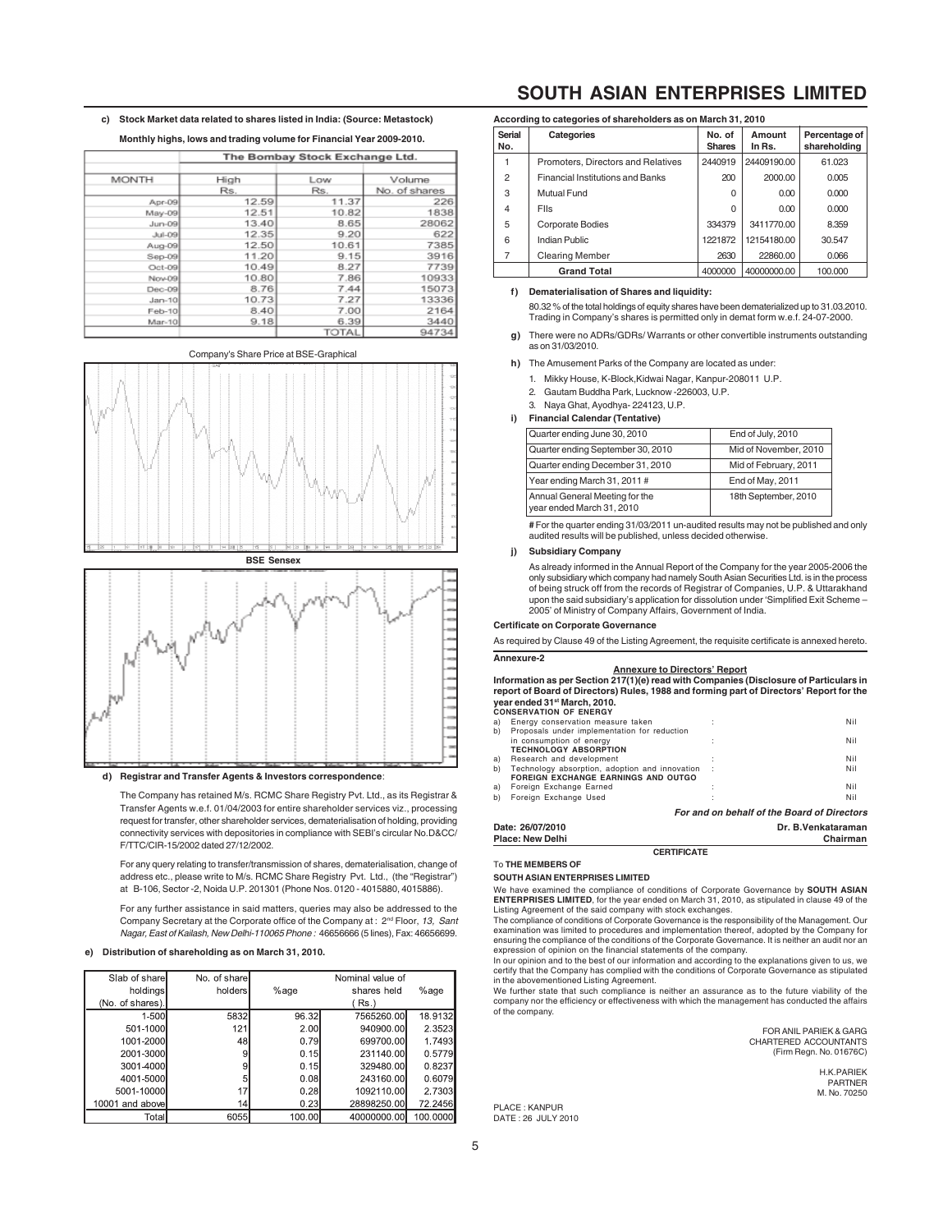| c) Stock Market data related to shares listed in India: (Source: Metastock) |
|-----------------------------------------------------------------------------|
|                                                                             |

|              |       | The Bombay Stock Exchange Ltd. |               |
|--------------|-------|--------------------------------|---------------|
|              |       |                                |               |
| <b>MONTH</b> | High  | Low                            | Volume        |
|              | Rs.   | Rs.                            | No. of shares |
| Apr-09       | 12.59 | 11.37                          | 226           |
| May-09       | 12.51 | 10.82                          | 1838          |
| $Jun-09$     | 13.40 | 8.65                           | 28062         |
| Jul-09       | 12.35 | 9.20                           | 622           |
| Aug-09       | 12.50 | 10.61                          | 7385          |
| $Sep-09$     | 11.20 | 9.15                           | 3916          |
| $Oct-09$     | 10.49 | 8.27                           | 7739          |
| Nov-09       | 10.80 | 7.86                           | 10933         |
| $Dec-09$     | 8.76  | 7.44                           | 15073         |
| $Jan-10$     | 10.73 | 7.27                           | 13336         |
| Feb-10       | 8.40  | 7.00                           | 2164          |
| Mar-10       | 9.18  | 6.39                           | 3440          |
|              |       | <b>TOTAL</b>                   | ロオアウオ         |

## Company's Share Price at BSE-Graphical





### **d) Registrar and Transfer Agents & Investors correspondence**:

The Company has retained M/s. RCMC Share Registry Pvt. Ltd., as its Registrar & Transfer Agents w.e.f. 01/04/2003 for entire shareholder services viz., processing request for transfer, other shareholder services, dematerialisation of holding, providing connectivity services with depositories in compliance with SEBI's circular No.D&CC/ F/TTC/CIR-15/2002 dated 27/12/2002.

For any query relating to transfer/transmission of shares, dematerialisation, change of address etc., please write to M/s. RCMC Share Registry Pvt. Ltd., (the "Registrar") at B-106, Sector -2, Noida U.P. 201301 (Phone Nos. 0120 - 4015880, 4015886).

For any further assistance in said matters, queries may also be addressed to the Company Secretary at the Corporate office of the Company at : 2<sup>nd</sup> Floor, 13, Sant Nagar, East of Kailash, New Delhi-110065 Phone : 46656666 (5 lines), Fax: 46656699.

# **e) Distribution of shareholding as on March 31, 2010.**

| Slab of share   | No. of share |        | Nominal value of |          |
|-----------------|--------------|--------|------------------|----------|
| holdings        | holders      | %age   | shares held      | %age     |
| (No. of shares) |              |        | ( Rs.)           |          |
| 1-500           | 5832         | 96.32  | 7565260.00       | 18.9132  |
| 501-1000        | 121          | 2.00   | 940900.00        | 2.3523   |
| 1001-2000       | 48           | 0.79   | 699700.00        | 1.7493   |
| 2001-3000       | 9            | 0.15   | 231140.00        | 0.5779   |
| 3001-4000       | 9            | 0.15   | 329480.00        | 0.8237   |
| 4001-5000       | 5            | 0.08   | 243160.00        | 0.6079   |
| 5001-10000      | 17           | 0.28   | 1092110.00       | 2.7303   |
| 10001 and above | 14           | 0.23   | 28898250.00      | 72.2456  |
| Total           | 6055         | 100.00 | 40000000.00      | 100,0000 |

# **SOUTH ASIAN ENTERPRISES LIMITED**

|                | According to categories of shareholders as on March 31, 2010 |                         |                  |                               |
|----------------|--------------------------------------------------------------|-------------------------|------------------|-------------------------------|
| Serial<br>No.  | Categories                                                   | No. of<br><b>Shares</b> | Amount<br>In Rs. | Percentage of<br>shareholding |
| 1              | Promoters, Directors and Relatives                           | 2440919                 | 24409190.00      | 61.023                        |
| $\overline{2}$ | <b>Financial Institutions and Banks</b>                      | 200                     | 2000.00          | 0.005                         |
| 3              | Mutual Fund                                                  | $\Omega$                | 0.00             | 0.000                         |
| $\overline{4}$ | <b>Flis</b>                                                  | $\Omega$                | 0.00             | 0.000                         |
| 5              | <b>Corporate Bodies</b>                                      | 334379                  | 3411770.00       | 8.359                         |
| 6              | Indian Public                                                | 1221872                 | 12154180.00      | 30.547                        |
| 7              | <b>Clearing Member</b>                                       | 2630                    | 22860.00         | 0.066                         |
|                | <b>Grand Total</b>                                           | 4000000                 | 40000000.00      | 100.000                       |

## **f) Dematerialisation of Shares and liquidity:**

80.32 % of the total holdings of equity shares have been dematerialized up to 31.03.2010. Trading in Company's shares is permitted only in demat form w.e.f. 24-07-2000.

- **g)** There were no ADRs/GDRs/ Warrants or other convertible instruments outstanding as on 31/03/2010.
- **h)** The Amusement Parks of the Company are located as under:
	- 1. Mikky House, K-Block,Kidwai Nagar, Kanpur-208011 U.P.
	- 2. Gautam Buddha Park, Lucknow -226003, U.P.
	- 3. Naya Ghat, Ayodhya- 224123, U.P.

### **i) Financial Calendar (Tentative)**

| Quarter ending June 30, 2010                                | End of July, 2010     |
|-------------------------------------------------------------|-----------------------|
| Quarter ending September 30, 2010                           | Mid of November, 2010 |
| Quarter ending December 31, 2010                            | Mid of February, 2011 |
| Year ending March 31, 2011 #                                | End of May, 2011      |
| Annual General Meeting for the<br>year ended March 31, 2010 | 18th September, 2010  |

**#** For the quarter ending 31/03/2011 un-audited results may not be published and only audited results will be published, unless decided otherwise.

#### **j) Subsidiary Company**

As already informed in the Annual Report of the Company for the year 2005-2006 the only subsidiary which company had namely South Asian Securities Ltd. is in the process of being struck off from the records of Registrar of Companies, U.P. & Uttarakhand upon the said subsidiary's application for dissolution under 'Simplified Exit Scheme – 2005' of Ministry of Company Affairs, Government of India.

#### **Certificate on Corporate Governance**

As required by Clause 49 of the Listing Agreement, the requisite certificate is annexed hereto. **Annexure-2**

#### **Annexure to Directors' Report**

**Information as per Section 217(1)(e) read with Companies (Disclosure of Particulars in report of Board of Directors) Rules, 1988 and forming part of Directors' Report for the year ended 31st March, 2010. CONSERVATION OF ENERGY**

|    | CONJERVATION OF ENERGI                         |                                             |
|----|------------------------------------------------|---------------------------------------------|
| a) | Energy conservation measure taken              | Nil                                         |
| b) | Proposals under implementation for reduction   |                                             |
|    | in consumption of energy                       | Nil                                         |
|    | <b>TECHNOLOGY ABSORPTION</b>                   |                                             |
| a) | Research and development                       | Nil                                         |
| b) | Technology absorption, adoption and innovation | Nil                                         |
|    | <b>FOREIGN EXCHANGE EARNINGS AND OUTGO</b>     |                                             |
| a) | Foreign Exchange Earned                        | Nil                                         |
| b) | Foreign Exchange Used                          | Nil                                         |
|    |                                                | For and on behalf of the Board of Directors |
|    | Date: 26/07/2010                               | Dr. B. Venkataraman                         |

| _ _ _ _ _ _ _ _ _ _ _ _ _ _ _<br>Place: New Delhi |                    | Chairman |
|---------------------------------------------------|--------------------|----------|
|                                                   | <b>CERTIFICATE</b> |          |

#### **SOUTH ASIAN ENTERPRISES LIMITED**

To **THE MEMBERS OF**

We have examined the compliance of conditions of Corporate Governance by **SOUTH ASIAN ENTERPRISES LIMITED**, for the year ended on March 31, 2010, as stipulated in clause 49 of the

Listing Agreement of the said company with stock exchanges. The compliance of conditions of Corporate Governance is the responsibility of the Management. Our examination was limited to procedures and implementation thereof, adopted by the Company for ensuring the compliance of the conditions of the Corporate Governance. It is neither an audit nor an expression of opinion on the financial statements of the company.

In our opinion and to the best of our information and according to the explanations given to us, we certify that the Company has complied with the conditions of Corporate Governance as stipulated in the abovementioned Listing Agreement.

We further state that such compliance is neither an assurance as to the future viability of the company nor the efficiency or effectiveness with which the management has conducted the affairs of the company.

FOR ANIL PARIEK & GARG CHARTERED ACCOUNTANTS (Firm Regn. No. 01676C)

> H.K.PARIEK PARTNER M. No. 70250

PLACE : KANPUR DATE : 26 JULY 2010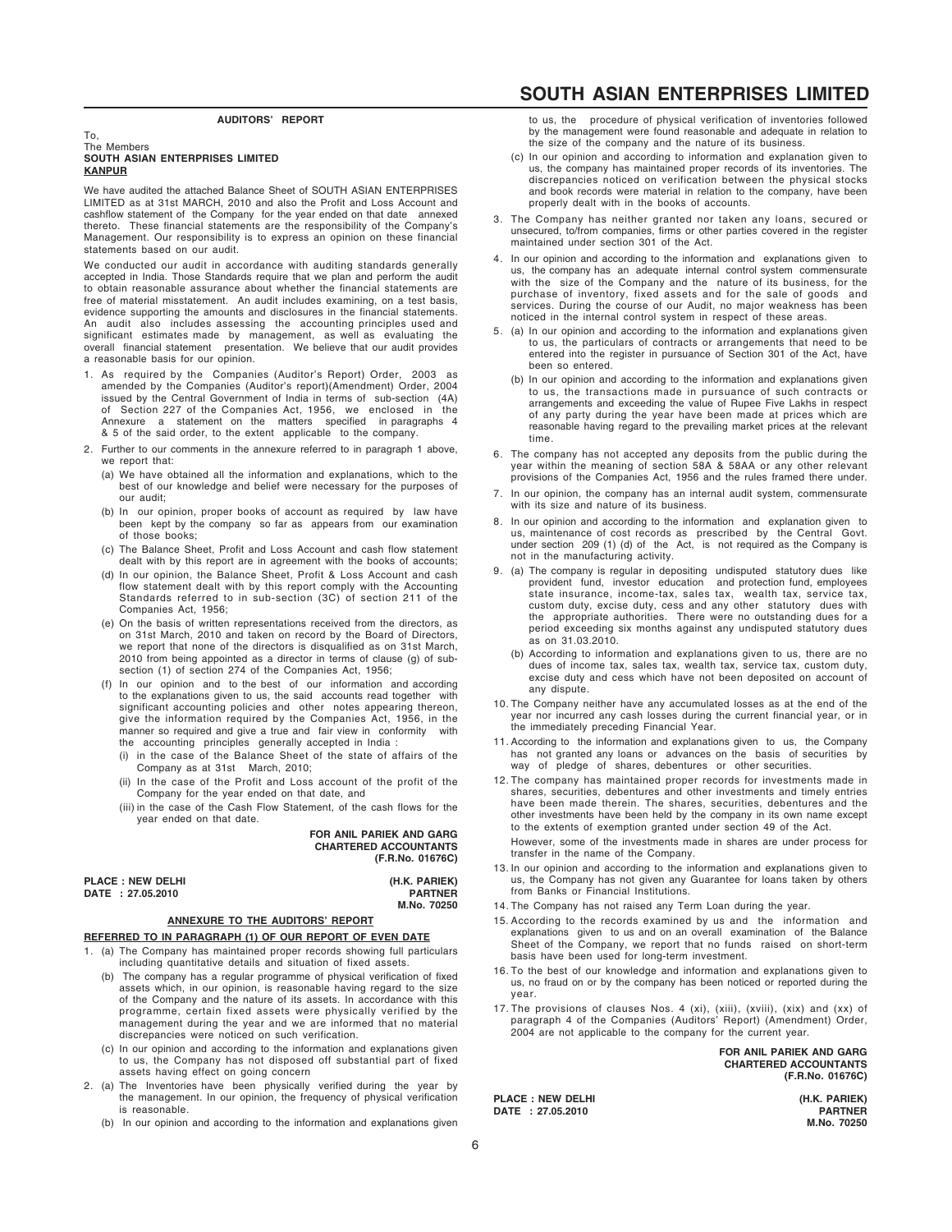# **AUDITORS' REPORT**

#### To, The Members **SOUTH ASIAN ENTERPRISES LIMITED KANPUR**

We have audited the attached Balance Sheet of SOUTH ASIAN ENTERPRISES LIMITED as at 31st MARCH, 2010 and also the Profit and Loss Account and cashflow statement of the Company for the year ended on that date annexed thereto. These financial statements are the responsibility of the Company's Management. Our responsibility is to express an opinion on these financial statements based on our audit.

We conducted our audit in accordance with auditing standards generally accepted in India. Those Standards require that we plan and perform the audit to obtain reasonable assurance about whether the financial statements are free of material misstatement. An audit includes examining, on a test basis, evidence supporting the amounts and disclosures in the financial statements. An audit also includes assessing the accounting principles used and significant estimates made by management, as well as evaluating the overall financial statement presentation. We believe that our audit provides a reasonable basis for our opinion.

- 1. As required by the Companies (Auditor's Report) Order, 2003 as amended by the Companies (Auditor's report)(Amendment) Order, 2004 issued by the Central Government of India in terms of sub-section (4A) of Section 227 of the Companies Act, 1956, we enclosed in the Annexure a statement on the matters specified in paragraphs 4 & 5 of the said order, to the extent applicable to the company.
- 2. Further to our comments in the annexure referred to in paragraph 1 above, we report that:
	- (a) We have obtained all the information and explanations, which to the best of our knowledge and belief were necessary for the purposes of our audit;
	- (b) In our opinion, proper books of account as required by law have been kept by the company so far as appears from our examination of those books;
	- (c) The Balance Sheet, Profit and Loss Account and cash flow statement dealt with by this report are in agreement with the books of accounts;
	- (d) In our opinion, the Balance Sheet, Profit & Loss Account and cash flow statement dealt with by this report comply with the Accounting Standards referred to in sub-section (3C) of section 211 of the Companies Act, 1956;
	- (e) On the basis of written representations received from the directors, as on 31st March, 2010 and taken on record by the Board of Directors, we report that none of the directors is disqualified as on 31st March, 2010 from being appointed as a director in terms of clause (g) of subsection (1) of section 274 of the Companies Act, 1956;
	- (f) In our opinion and to the best of our information and according to the explanations given to us, the said accounts read together with significant accounting policies and other notes appearing thereon, give the information required by the Companies Act, 1956, in the manner so required and give a true and fair view in conformity the accounting principles generally accepted in India :
		- (i) in the case of the Balance Sheet of the state of affairs of the Company as at 31st March, 2010;
		- (ii) In the case of the Profit and Loss account of the profit of the Company for the year ended on that date, and
		- (iii) in the case of the Cash Flow Statement, of the cash flows for the year ended on that date.

**FOR ANIL PARIEK AND GARG CHARTERED ACCOUNTANTS (F.R.No. 01676C)**

### **PLACE : NEW DELHI (H.K. PARIEK) DATE : 27.05.2010 PARTNER**

 **M.No. 70250**

# **ANNEXURE TO THE AUDITORS' REPORT**

# **REFERRED TO IN PARAGRAPH (1) OF OUR REPORT OF EVEN DATE**

- 1. (a) The Company has maintained proper records showing full particulars including quantitative details and situation of fixed assets.
	- (b) The company has a regular programme of physical verification of fixed assets which, in our opinion, is reasonable having regard to the size of the Company and the nature of its assets. In accordance with this programme, certain fixed assets were physically verified by the management during the year and we are informed that no material discrepancies were noticed on such verification.
	- (c) In our opinion and according to the information and explanations given to us, the Company has not disposed off substantial part of fixed assets having effect on going concern
- 2. (a) The Inventories have been physically verified during the year by the management. In our opinion, the frequency of physical verification is reasonable.
	- (b) In our opinion and according to the information and explanations given

# **SOUTH ASIAN ENTERPRISES LIMITED**

to us, the procedure of physical verification of inventories followed by the management were found reasonable and adequate in relation to the size of the company and the nature of its business.

- (c) In our opinion and according to information and explanation given to us, the company has maintained proper records of its inventories. The discrepancies noticed on verification between the physical stocks and book records were material in relation to the company, have been properly dealt with in the books of accounts.
- 3. The Company has neither granted nor taken any loans, secured or unsecured, to/from companies, firms or other parties covered in the register maintained under section 301 of the Act.
- 4. In our opinion and according to the information and explanations given to us, the company has an adequate internal control system commensurate with the size of the Company and the nature of its business, for the purchase of inventory, fixed assets and for the sale of goods and services. During the course of our Audit, no major weakness has been noticed in the internal control system in respect of these areas.
- 5. (a) In our opinion and according to the information and explanations given to us, the particulars of contracts or arrangements that need to be entered into the register in pursuance of Section 301 of the Act, have been so entered.
	- (b) In our opinion and according to the information and explanations given to us, the transactions made in pursuance of such contracts or arrangements and exceeding the value of Rupee Five Lakhs in respect of any party during the year have been made at prices which are reasonable having regard to the prevailing market prices at the relevant time.
- 6. The company has not accepted any deposits from the public during the year within the meaning of section 58A & 58AA or any other relevant provisions of the Companies Act, 1956 and the rules framed there under.
- 7. In our opinion, the company has an internal audit system, commensurate with its size and nature of its business.
- 8. In our opinion and according to the information and explanation given to us, maintenance of cost records as prescribed by the Central Govt. under section 209 (1) (d) of the Act, is not required as the Company is not in the manufacturing activity.
- 9. (a) The company is regular in depositing undisputed statutory dues like provident fund, investor education state insurance, income-tax, sales tax, wealth tax, service tax, custom duty, excise duty, cess and any other statutory dues with the appropriate authorities. There were no outstanding dues for a period exceeding six months against any undisputed statutory dues as on 31.03.2010.
	- (b) According to information and explanations given to us, there are no dues of income tax, sales tax, wealth tax, service tax, custom duty, excise duty and cess which have not been deposited on account of any dispute.
- 10. The Company neither have any accumulated losses as at the end of the year nor incurred any cash losses during the current financial year, or in the immediately preceding Financial Year.
- 11. According to the information and explanations given to us, the Company has not granted any loans or advances on the basis of securities by way of pledge of shares, debentures or other securities.
- 12. The company has maintained proper records for investments made in shares, securities, debentures and other investments and timely entries have been made therein. The shares, securities, debentures and the other investments have been held by the company in its own name except to the extents of exemption granted under section 49 of the Act. However, some of the investments made in shares are under process for transfer in the name of the Company.
- 13. In our opinion and according to the information and explanations given to us, the Company has not given any Guarantee for loans taken by others from Banks or Financial Institutions.
- 14. The Company has not raised any Term Loan during the year.
- 15. According to the records examined by us and the information and explanations given to us and on an overall examination of the Balance Sheet of the Company, we report that no funds raised on short-term basis have been used for long-term investment.
- 16. To the best of our knowledge and information and explanations given to us, no fraud on or by the company has been noticed or reported during the year.
- 17. The provisions of clauses Nos. 4 (xi), (xiii), (xviii), (xix) and (xx) of paragraph 4 of the Companies (Auditors' Report) (Amendment) Order, 2004 are not applicable to the company for the current year.

**FOR ANIL PARIEK AND GARG CHARTERED ACCOUNTANTS (F.R.No. 01676C)**

**PLACE : NEW DELHI (H.K. PARIEK) DATE : 27.05.2010** 

**M.No. 70250**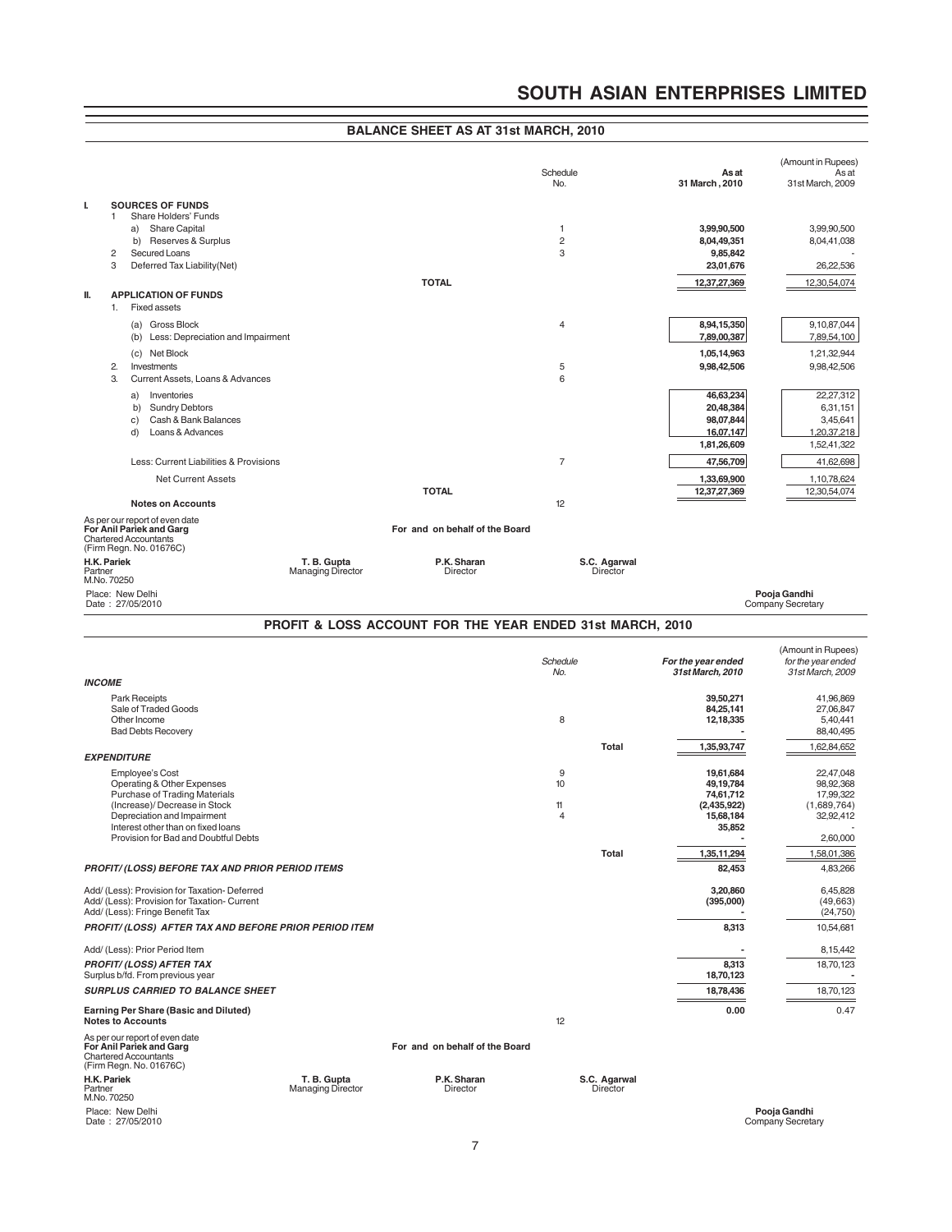# **BALANCE SHEET AS AT 31st MARCH, 2010**

|                        |                                                                                 |                                                           |                                 |                         | (Amount in Rupees)        |
|------------------------|---------------------------------------------------------------------------------|-----------------------------------------------------------|---------------------------------|-------------------------|---------------------------|
|                        |                                                                                 |                                                           | Schedule<br>No.                 | As at<br>31 March, 2010 | As at<br>31st March, 2009 |
| ı.                     | <b>SOURCES OF FUNDS</b>                                                         |                                                           |                                 |                         |                           |
|                        | Share Holders' Funds<br>1.                                                      |                                                           |                                 |                         |                           |
|                        | <b>Share Capital</b><br>a)                                                      |                                                           | 1                               | 3,99,90,500             | 3,99,90,500               |
|                        | b) Reserves & Surplus                                                           |                                                           | $\overline{c}$                  | 8,04,49,351             | 8,04,41,038               |
|                        | 2<br>Secured Loans<br>3<br>Deferred Tax Liability (Net)                         |                                                           | 3                               | 9,85,842<br>23,01,676   | 26,22,536                 |
|                        |                                                                                 |                                                           |                                 |                         |                           |
| Ш.                     | <b>APPLICATION OF FUNDS</b>                                                     | <b>TOTAL</b>                                              |                                 | 12,37,27,369            | 12,30,54,074              |
|                        | <b>Fixed assets</b><br>1.                                                       |                                                           |                                 |                         |                           |
|                        | (a) Gross Block                                                                 |                                                           | 4                               | 8,94,15,350             | 9,10,87,044               |
|                        | (b) Less: Depreciation and Impairment                                           |                                                           |                                 | 7,89,00,387             | 7,89,54,100               |
|                        | (c) Net Block                                                                   |                                                           |                                 | 1,05,14,963             | 1,21,32,944               |
|                        | Investments<br>2.                                                               |                                                           | 5                               | 9,98,42,506             | 9,98,42,506               |
|                        | 3.<br>Current Assets, Loans & Advances                                          |                                                           | 6                               |                         |                           |
|                        | Inventories<br>a)                                                               |                                                           |                                 | 46,63,234               | 22,27,312                 |
|                        | b)<br><b>Sundry Debtors</b>                                                     |                                                           |                                 | 20,48,384               | 6,31,151                  |
|                        | Cash & Bank Balances<br>C)                                                      |                                                           |                                 | 98,07,844               | 3,45,641                  |
|                        | Loans & Advances<br>d)                                                          |                                                           |                                 | 16,07,147               | 1,20,37,218               |
|                        |                                                                                 |                                                           |                                 | 1,81,26,609             | 1,52,41,322               |
|                        | Less: Current Liabilities & Provisions                                          |                                                           | $\overline{7}$                  | 47,56,709               | 41,62,698                 |
|                        | <b>Net Current Assets</b>                                                       |                                                           |                                 | 1,33,69,900             | 1,10,78,624               |
|                        |                                                                                 | <b>TOTAL</b>                                              |                                 | 12,37,27,369            | 12,30,54,074              |
|                        | <b>Notes on Accounts</b>                                                        |                                                           | 12                              |                         |                           |
|                        | As per our report of even date<br>For Anil Pariek and Garg                      | For and on behalf of the Board                            |                                 |                         |                           |
|                        | <b>Chartered Accountants</b>                                                    |                                                           |                                 |                         |                           |
|                        | (Firm Regn. No. 01676C)                                                         |                                                           |                                 |                         |                           |
| H.K. Pariek<br>Partner | T. B. Gupta<br><b>Managing Director</b>                                         | P.K. Sharan<br>Director                                   | S.C. Agarwal<br><b>Director</b> |                         |                           |
| M.No. 70250            |                                                                                 |                                                           |                                 |                         |                           |
|                        | Place: New Delhi                                                                |                                                           |                                 |                         | Pooja Gandhi              |
|                        | Date: 27/05/2010                                                                |                                                           |                                 |                         | Company Secretary         |
|                        |                                                                                 | PROFIT & LOSS ACCOUNT FOR THE YEAR ENDED 31st MARCH, 2010 |                                 |                         |                           |
|                        |                                                                                 |                                                           |                                 |                         | (Amount in Rupees)        |
|                        |                                                                                 |                                                           | Schedule                        |                         |                           |
| <b>INCOME</b>          |                                                                                 |                                                           |                                 | For the year ended      | for the year ended        |
|                        |                                                                                 |                                                           | No.                             | 31st March, 2010        | 31st March, 2009          |
|                        |                                                                                 |                                                           |                                 |                         |                           |
|                        | Park Receipts<br>Sale of Traded Goods                                           |                                                           |                                 | 39,50,271<br>84,25,141  | 41,96,869<br>27,06,847    |
|                        | Other Income                                                                    |                                                           | 8                               | 12,18,335               | 5,40,441                  |
|                        | <b>Bad Debts Recovery</b>                                                       |                                                           |                                 |                         | 88,40,495                 |
|                        |                                                                                 |                                                           | Total                           | 1,35,93,747             | 1,62,84,652               |
|                        | <b>EXPENDITURE</b>                                                              |                                                           |                                 |                         |                           |
|                        | <b>Employee's Cost</b>                                                          |                                                           | 9                               | 19,61,684               | 22,47,048                 |
|                        | Operating & Other Expenses<br><b>Purchase of Trading Materials</b>              |                                                           | 10                              | 49,19,784<br>74,61,712  | 98,92,368<br>17,99,322    |
|                        | (Increase)/ Decrease in Stock                                                   |                                                           | 11                              | (2,435,922)             | (1,689,764)               |
|                        | Depreciation and Impairment                                                     |                                                           | 4                               | 15,68,184               | 32,92,412                 |
|                        | Interest other than on fixed loans<br>Provision for Bad and Doubtful Debts      |                                                           |                                 | 35,852                  | 2,60,000                  |
|                        |                                                                                 |                                                           | Total                           | 1,35,11,294             | 1,58,01,386               |
|                        | <b>PROFIT/ (LOSS) BEFORE TAX AND PRIOR PERIOD ITEMS</b>                         |                                                           |                                 | 82,453                  | 4,83,266                  |
|                        |                                                                                 |                                                           |                                 |                         |                           |
|                        | Add/ (Less): Provision for Taxation- Deferred                                   |                                                           |                                 | 3,20,860                | 6,45,828                  |
|                        | Add/ (Less): Provision for Taxation- Current<br>Add/ (Less): Fringe Benefit Tax |                                                           |                                 | (395,000)               | (49,663)<br>(24, 750)     |
|                        | PROFIT/ (LOSS) AFTER TAX AND BEFORE PRIOR PERIOD ITEM                           |                                                           |                                 | 8,313                   | 10,54,681                 |
|                        |                                                                                 |                                                           |                                 |                         |                           |
|                        | Add/ (Less): Prior Period Item                                                  |                                                           |                                 |                         | 8,15,442                  |
|                        | <b>PROFIT/ (LOSS) AFTER TAX</b>                                                 |                                                           |                                 | 8,313                   | 18,70,123                 |
|                        | Surplus b/fd. From previous year                                                |                                                           |                                 | 18,70,123               |                           |
|                        | <b>SURPLUS CARRIED TO BALANCE SHEET</b>                                         |                                                           |                                 | 18,78,436               | 18,70,123                 |
|                        | Earning Per Share (Basic and Diluted)<br><b>Notes to Accounts</b>               |                                                           | 12                              | 0.00                    | 0.47                      |

Chartered Accountants (Firm Regn. No. 01676C)

H.K. Pariek<br>Partner<br>M.No. 70250

Place: New Delhi<br>Date: 27/05/2010

**H.K. Pariek T. B. Gupta P.K. Sharan S.C. Agarwal** Partner Managing Director Director Director

Pooja Gandhi<br>Company Secretary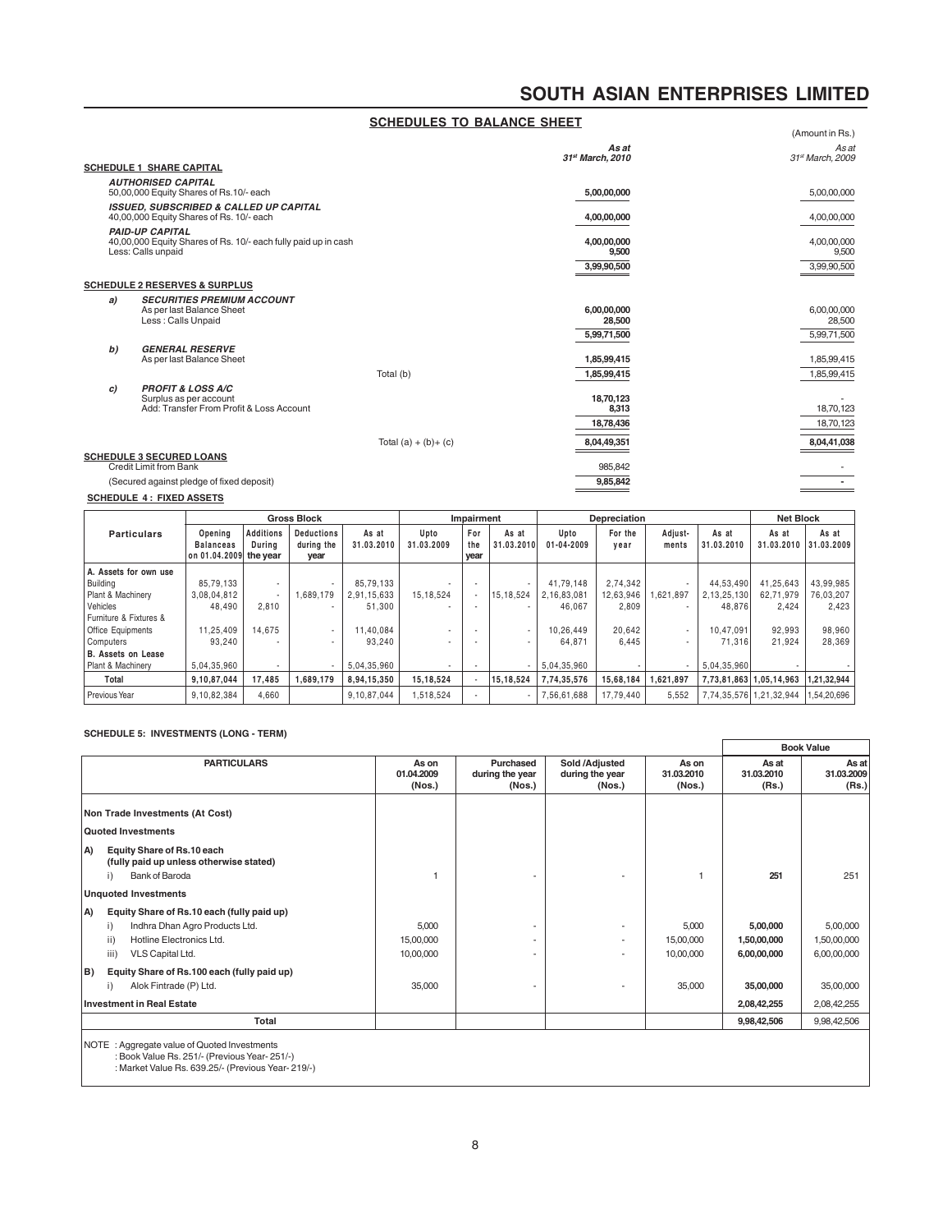|    |                                                                                          | <b>SCHEDULES TO BALANCE SHEET</b> |                           |                           |
|----|------------------------------------------------------------------------------------------|-----------------------------------|---------------------------|---------------------------|
|    |                                                                                          |                                   |                           | (Amount in Rs.)           |
|    |                                                                                          |                                   | As at<br>31st March. 2010 | As at<br>31st March, 2009 |
|    | <b>SCHEDULE 1 SHARE CAPITAL</b>                                                          |                                   |                           |                           |
|    | <b>AUTHORISED CAPITAL</b>                                                                |                                   |                           |                           |
|    | 50,00,000 Equity Shares of Rs.10/- each                                                  |                                   | 5,00,00,000               | 5,00,00,000               |
|    | <b>ISSUED. SUBSCRIBED &amp; CALLED UP CAPITAL</b>                                        |                                   |                           |                           |
|    | 40,00,000 Equity Shares of Rs. 10/- each                                                 |                                   | 4,00,00,000               | 4,00,00,000               |
|    | <b>PAID-UP CAPITAL</b><br>40,00,000 Equity Shares of Rs. 10/- each fully paid up in cash |                                   | 4,00,00,000               | 4,00,00,000               |
|    | Less: Calls unpaid                                                                       |                                   | 9,500                     | 9,500                     |
|    |                                                                                          |                                   | 3,99,90,500               | 3,99,90,500               |
|    | <b>SCHEDULE 2 RESERVES &amp; SURPLUS</b>                                                 |                                   |                           |                           |
| a) | <b>SECURITIES PREMIUM ACCOUNT</b>                                                        |                                   |                           |                           |
|    | As per last Balance Sheet                                                                |                                   | 6,00,00,000               | 6,00,00,000               |
|    | Less : Calls Unpaid                                                                      |                                   | 28,500                    | 28,500                    |
|    |                                                                                          |                                   | 5,99,71,500               | 5,99,71,500               |
| b) | <b>GENERAL RESERVE</b>                                                                   |                                   |                           |                           |
|    | As per last Balance Sheet                                                                |                                   | 1,85,99,415               | 1,85,99,415               |
|    |                                                                                          | Total (b)                         | 1,85,99,415               | 1,85,99,415               |
| c) | <b>PROFIT &amp; LOSS A/C</b>                                                             |                                   |                           |                           |
|    | Surplus as per account<br>Add: Transfer From Profit & Loss Account                       |                                   | 18,70,123<br>8,313        | 18,70,123                 |
|    |                                                                                          |                                   | 18,78,436                 | 18,70,123                 |
|    |                                                                                          |                                   |                           |                           |
|    |                                                                                          | Total $(a) + (b) + (c)$           | 8,04,49,351               | 8,04,41,038               |
|    | <b>SCHEDULE 3 SECURED LOANS</b><br><b>Credit Limit from Bank</b>                         |                                   | 985,842                   |                           |
|    | (Secured against pledge of fixed deposit)                                                |                                   | 9,85,842                  |                           |
|    |                                                                                          |                                   |                           |                           |
|    | <b>SCHEDULE 4: FIXED ASSETS</b>                                                          |                                   |                           |                           |

|                        |                                                       | <b>Gross Block</b>         |                                         |                     | Impairment         |                    | Depreciation        |                          |                 | <b>Net Block</b>         |                     |                                |             |
|------------------------|-------------------------------------------------------|----------------------------|-----------------------------------------|---------------------|--------------------|--------------------|---------------------|--------------------------|-----------------|--------------------------|---------------------|--------------------------------|-------------|
| <b>Particulars</b>     | Opening<br><b>Balanceas</b><br>on 01.04.2009 the year | <b>Additions</b><br>Durina | <b>Deductions</b><br>during the<br>year | As at<br>31.03.2010 | Upto<br>31.03.2009 | For<br>the<br>year | As at<br>31.03.2010 | Upto<br>$01 - 04 - 2009$ | For the<br>year | Adjust-<br>ments         | As at<br>31.03.2010 | As at<br>31.03.2010 31.03.2009 | As at       |
| A. Assets for own use  |                                                       |                            |                                         |                     |                    |                    |                     |                          |                 |                          |                     |                                |             |
| Building               | 85.79.133                                             | $\overline{\phantom{a}}$   |                                         | 85,79,133           |                    |                    |                     | 41.79.148                | 2.74.342        | $\overline{\phantom{a}}$ | 44.53.490           | 41,25,643                      | 43.99.985   |
| Plant & Machinery      | 3,08,04,812                                           |                            | 1.689.179                               | 2,91,15,633         | 15, 18, 524        |                    | 15,18,524           | 2.16.83.081              | 12,63,946       | 1.621.897                | 2,13,25,130         | 62,71,979                      | 76,03,207   |
| Vehicles               | 48.490                                                | 2,810                      | $\sim$                                  | 51.300              |                    |                    |                     | 46.067                   | 2,809           | $\overline{\phantom{a}}$ | 48.876              | 2.424                          | 2,423       |
| Furniture & Fixtures & |                                                       |                            |                                         |                     |                    |                    |                     |                          |                 |                          |                     |                                |             |
| Office Equipments      | 11.25.409                                             | 14.675                     | $\sim$                                  | 11.40.084           | $\sim$             |                    |                     | 10.26.449                | 20.642          | $\overline{\phantom{a}}$ | 10.47.091           | 92.993                         | 98,960      |
| <b>Computers</b>       | 93.240                                                |                            |                                         | 93.240              |                    |                    |                     | 64.871                   | 6,445           |                          | 71.316              | 21.924                         | 28.369      |
| B. Assets on Lease     |                                                       |                            |                                         |                     |                    |                    |                     |                          |                 |                          |                     |                                |             |
| Plant & Machinery      | 5,04,35,960                                           |                            |                                         | 5,04,35,960         |                    |                    |                     | 5,04,35,960              |                 |                          | 5,04,35,960         |                                |             |
| Total                  | 9,10,87,044                                           | 17.485                     | 1.689.179                               | 8,94,15,350         | 15,18,524          |                    | 15.18.524           | 7.74.35.576              | 15.68.184       | 1.621.897                |                     | 7,73,81,863 1,05,14,963        | 1,21,32,944 |
| Previous Year          | 9.10.82.384                                           | 4.660                      |                                         | 9.10.87.044         | 1,518,524          |                    |                     | 7.56.61.688              | 17.79.440       | 5.552                    |                     | 7.74.35.576 1.21.32.944        | 1,54,20,696 |

# **SCHEDULE 5: INVESTMENTS (LONG - TERM)**

|    |                                                                                                                                                    |                                 |                                        |                                                      |                                 |                                        | <b>Book Value</b>                      |
|----|----------------------------------------------------------------------------------------------------------------------------------------------------|---------------------------------|----------------------------------------|------------------------------------------------------|---------------------------------|----------------------------------------|----------------------------------------|
|    | <b>PARTICULARS</b>                                                                                                                                 | As on<br>01.04.2009<br>(Nos.)   | Purchased<br>during the year<br>(Nos.) | Sold /Adjusted<br>during the year<br>(Nos.)          | As on<br>31.03.2010<br>(Nos.)   | As at<br>31.03.2010<br>(Rs.)           | As at<br>31.03.2009<br>(Rs.)           |
|    | Non Trade Investments (At Cost)                                                                                                                    |                                 |                                        |                                                      |                                 |                                        |                                        |
|    | Quoted Investments                                                                                                                                 |                                 |                                        |                                                      |                                 |                                        |                                        |
| A) | Equity Share of Rs.10 each<br>(fully paid up unless otherwise stated)<br>i)<br>Bank of Baroda                                                      |                                 |                                        |                                                      |                                 | 251                                    | 251                                    |
|    | <b>Unquoted Investments</b>                                                                                                                        |                                 |                                        |                                                      |                                 |                                        |                                        |
| A) | Equity Share of Rs.10 each (fully paid up)<br>Indhra Dhan Agro Products Ltd.<br>i)<br>Hotline Electronics Ltd.<br>ii)<br>iii)<br>VLS Capital Ltd.  | 5,000<br>15,00,000<br>10,00,000 |                                        | $\overline{\phantom{a}}$<br>$\overline{\phantom{a}}$ | 5,000<br>15,00,000<br>10.00.000 | 5,00,000<br>1,50,00,000<br>6,00,00,000 | 5,00,000<br>1,50,00,000<br>6,00,00,000 |
| B) | Equity Share of Rs.100 each (fully paid up)                                                                                                        |                                 |                                        |                                                      |                                 |                                        |                                        |
|    | Alok Fintrade (P) Ltd.<br>i)<br><b>Investment in Real Estate</b>                                                                                   | 35,000                          |                                        |                                                      | 35,000                          | 35,00,000<br>2,08,42,255               | 35,00,000<br>2,08,42,255               |
|    | Total                                                                                                                                              |                                 |                                        |                                                      |                                 | 9,98,42,506                            | 9,98,42,506                            |
|    | NOTE : Aggregate value of Quoted Investments<br>: Book Value Rs. 251/- (Previous Year-251/-)<br>: Market Value Rs. 639.25/- (Previous Year- 219/-) |                                 |                                        |                                                      |                                 |                                        |                                        |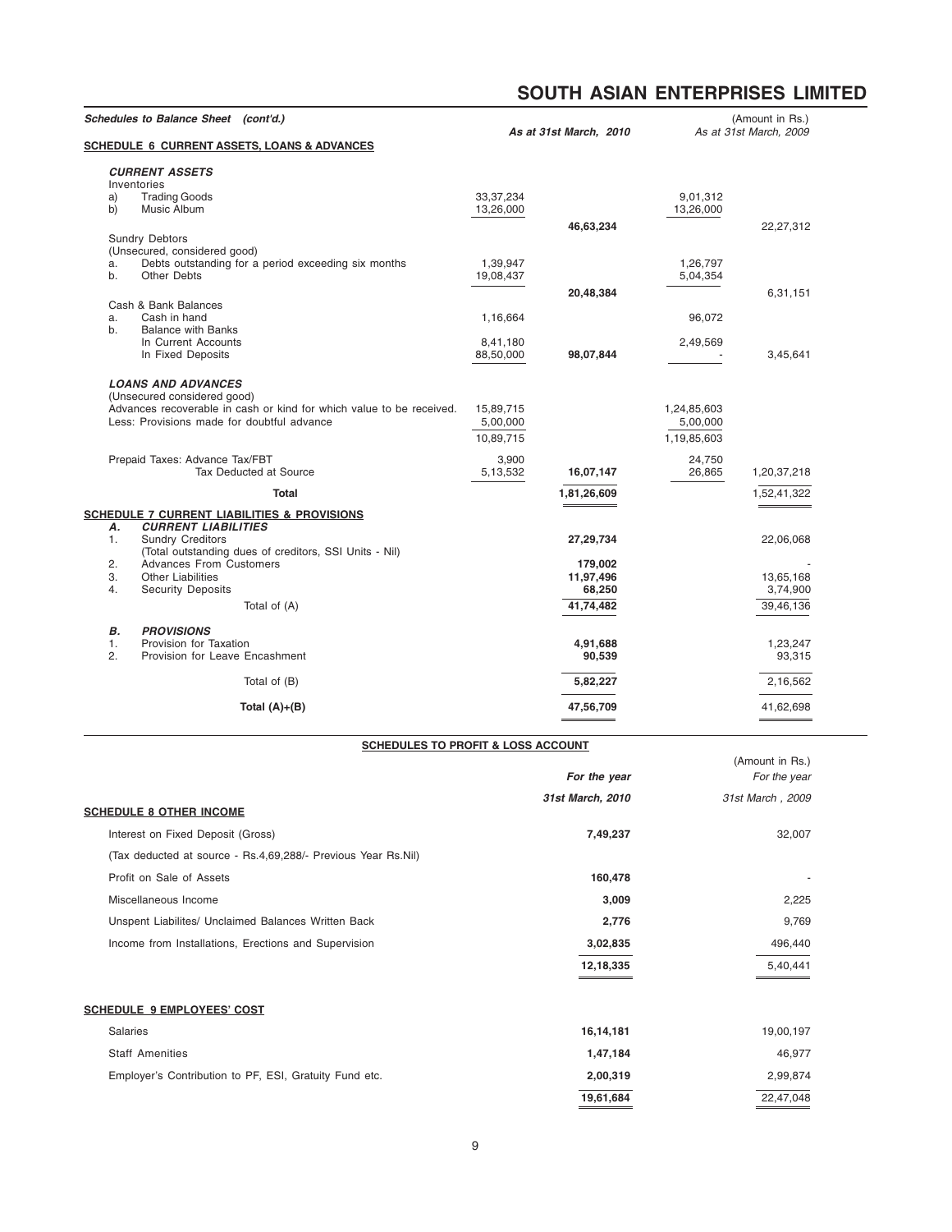| As at 31st March, 2010 |             | (Amount in Rs.)<br>As at 31st March, 2009 |
|------------------------|-------------|-------------------------------------------|
|                        |             |                                           |
|                        |             |                                           |
|                        |             |                                           |
|                        | 9,01,312    |                                           |
|                        | 13,26,000   |                                           |
| 46,63,234              |             | 22,27,312                                 |
|                        |             |                                           |
|                        |             |                                           |
|                        | 1,26,797    |                                           |
|                        | 5,04,354    |                                           |
|                        |             |                                           |
| 20,48,384              |             | 6,31,151                                  |
|                        | 96,072      |                                           |
|                        |             |                                           |
|                        |             |                                           |
| 98,07,844              | 2,49,569    | 3,45,641                                  |
|                        |             |                                           |
|                        |             |                                           |
|                        |             |                                           |
|                        |             |                                           |
|                        | 1,24,85,603 |                                           |
|                        | 5,00,000    |                                           |
|                        | 1,19,85,603 |                                           |
|                        | 24,750      |                                           |
| 16,07,147              | 26,865      | 1,20,37,218                               |
|                        |             |                                           |
| 1,81,26,609            |             | 1,52,41,322                               |
|                        |             |                                           |
|                        |             |                                           |
| 27,29,734              |             | 22,06,068                                 |
|                        |             |                                           |
| 179,002                |             |                                           |
| 11,97,496              |             | 13,65,168                                 |
| 68,250                 |             | 3,74,900                                  |
| 41.74.482              |             | 39.46.136                                 |
|                        |             |                                           |
|                        |             |                                           |
| 4,91,688               |             | 1,23,247                                  |
| 90,539                 |             | 93,315                                    |
|                        |             | 2,16,562                                  |
|                        |             |                                           |
| 47,56,709              |             | 41,62,698                                 |
|                        | 5,82,227    |                                           |

# **SCHEDULES TO PROFIT & LOSS ACCOUNT**

|                                                               |                  | (Amount in Rs.)  |
|---------------------------------------------------------------|------------------|------------------|
|                                                               | For the year     | For the year     |
| <b>SCHEDULE 8 OTHER INCOME</b>                                | 31st March, 2010 | 31st March, 2009 |
| Interest on Fixed Deposit (Gross)                             | 7,49,237         | 32,007           |
| (Tax deducted at source - Rs.4,69,288/- Previous Year Rs.Nil) |                  |                  |
| Profit on Sale of Assets                                      | 160,478          |                  |
| Miscellaneous Income                                          | 3,009            | 2,225            |
| Unspent Liabilites/ Unclaimed Balances Written Back           | 2,776            | 9,769            |
| Income from Installations, Erections and Supervision          | 3,02,835         | 496,440          |
|                                                               | 12,18,335        | 5,40,441         |
| <b>SCHEDULE 9 EMPLOYEES' COST</b>                             |                  |                  |
| Salaries                                                      | 16,14,181        | 19,00,197        |
| <b>Staff Amenities</b>                                        | 1,47,184         | 46,977           |
| Employer's Contribution to PF, ESI, Gratuity Fund etc.        | 2,00,319         | 2,99,874         |
|                                                               | 19,61,684        | 22,47,048        |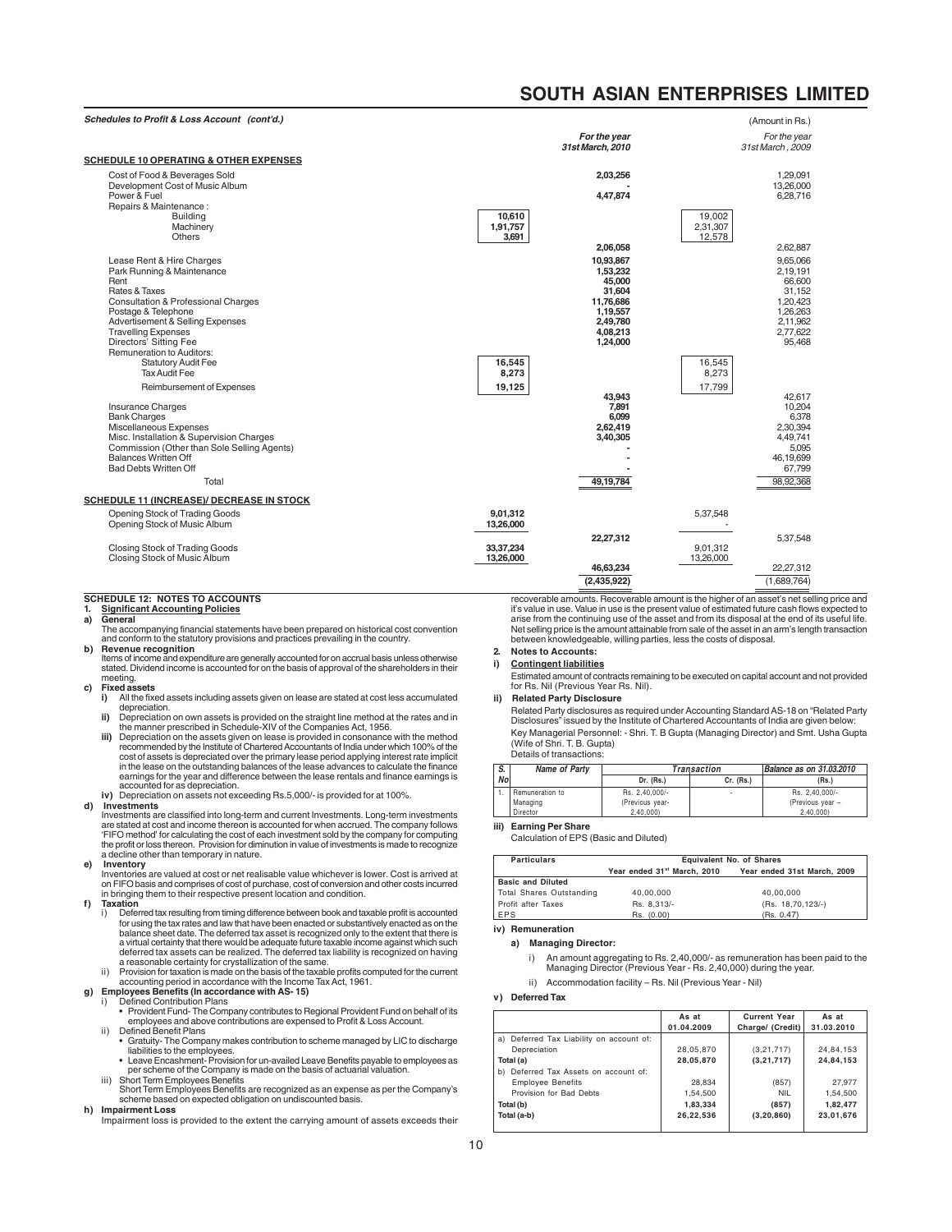(Amount in Rs.)

| <b>SCHEDULE 10 OPERATING &amp; OTHER EXPENSES</b>                                                                                                                                                                                                                                                                                                                     |                             | For the year<br>31st March, 2010                                                                                   |                              | For the year<br>31st March, 2009                                                                               |
|-----------------------------------------------------------------------------------------------------------------------------------------------------------------------------------------------------------------------------------------------------------------------------------------------------------------------------------------------------------------------|-----------------------------|--------------------------------------------------------------------------------------------------------------------|------------------------------|----------------------------------------------------------------------------------------------------------------|
| Cost of Food & Beverages Sold<br>Development Cost of Music Album<br>Power & Fuel<br>Repairs & Maintenance:                                                                                                                                                                                                                                                            |                             | 2,03,256<br>4,47,874                                                                                               |                              | 1,29,091<br>13.26.000<br>6,28,716                                                                              |
| <b>Building</b><br>Machinery<br>Others                                                                                                                                                                                                                                                                                                                                | 10,610<br>1,91,757<br>3,691 |                                                                                                                    | 19,002<br>2,31,307<br>12,578 |                                                                                                                |
| Lease Rent & Hire Charges<br>Park Running & Maintenance<br>Rent<br>Rates & Taxes<br><b>Consultation &amp; Professional Charges</b><br>Postage & Telephone<br>Advertisement & Selling Expenses<br><b>Travelling Expenses</b><br>Directors' Sitting Fee<br>Remuneration to Auditors:                                                                                    |                             | 2,06,058<br>10.93.867<br>1,53,232<br>45.000<br>31,604<br>11.76.686<br>1,19,557<br>2,49,780<br>4.08.213<br>1,24,000 |                              | 2,62,887<br>9.65.066<br>2,19,191<br>66,600<br>31,152<br>1.20.423<br>1,26,263<br>2,11,962<br>2.77.622<br>95,468 |
| <b>Statutory Audit Fee</b><br><b>Tax Audit Fee</b><br>Reimbursement of Expenses<br>Insurance Charges<br><b>Bank Charges</b><br>Miscellaneous Expenses<br>Misc. Installation & Supervision Charges<br>Commission (Other than Sole Selling Agents)<br><b>Balances Written Off</b><br><b>Bad Debts Written Off</b><br>Total<br>SCHEDULE 11 (INCREASE)/ DECREASE IN STOCK | 16,545<br>8,273<br>19,125   | 43,943<br>7,891<br>6,099<br>2,62,419<br>3,40,305<br>49,19,784                                                      | 16,545<br>8,273<br>17,799    | 42.617<br>10.204<br>6,378<br>2,30,394<br>4,49,741<br>5,095<br>46,19,699<br>67,799<br>98,92,368                 |
| Opening Stock of Trading Goods<br>Opening Stock of Music Album                                                                                                                                                                                                                                                                                                        | 9,01,312<br>13,26,000       | 22,27,312                                                                                                          | 5,37,548                     | 5,37,548                                                                                                       |
| Closing Stock of Trading Goods<br>Closing Stock of Music Album                                                                                                                                                                                                                                                                                                        | 33, 37, 234<br>13,26,000    | 46,63,234<br>(2,435,922)                                                                                           | 9,01,312<br>13,26,000        | 22,27,312<br>(1,689,764)                                                                                       |

# **SCHEDULE 12: NOTES TO ACCOUNTS**

#### **1. Significant Accounting Policies a) General**

The accompanying financial statements have been prepared on historical cost convention and conform to the statutory provisions and practices prevailing in the country.

**b) Revenue recognition** Items of income and expenditure are generally accounted for on accrual basis unless otherwise

stated. Dividend income is accounted for on the basis of approval of the shareholders in their meeting.

# **c) Fixed assets**

- **i)** All the fixed assets including assets given on lease are stated at cost less accumulated depreciation.
- **ii)** Depreciation on own assets is provided on the straight line method at the rates and in the manner prescribed in Schedule-XIV of the Companies Act, 1956.
- iii) Depreciation on the assets given on lease is provided in consonance with the method<br>recommended by the Institute of Chartered Accountants of India under which 100% of the<br>cost of assets is depreciated over the primary in the lease on the outstanding balances of the lease advances to calculate the finance earnings for the year and difference between the lease rentals and finance earnings is accounted for as depreciation.

**iv)** Depreciation on assets not exceeding Rs.5,000/- is provided for at 100%.

# **d) Investments**

Investments are classified into long-term and current Investments. Long-term investments<br>are stated at cost and income thereon is accounted for when accrued. The company follows<br>'FIFO method' for calculating the cost of ea the profit or loss thereon. Provision for diminution in value of investments is made to recognize a decline other than temporary in nature.

**e) Inventory** Inventories are valued at cost or net realisable value whichever is lower. Cost is arrived at on FIFO basis and comprises of cost of purchase, cost of conversion and other costs incurred in bringing them to their respective present location and condition.

# **f) Taxation**

- i) Deferred tax resulting from timing difference between book and taxable profit is accounted for using the tax rates and law that have been enacted or substantively enacted as on the balance sheet date. The deferred tax asset is recognized only to the extent that there is<br>a virtual certainty that there would be adequate future taxable income against which such<br>deferred tax assets can be realized. The d
- a reasonable certainty for crystallization of the same. ii) Provision for taxation is made on the basis of the taxable profits computed for the current accounting period in accordance with the Income Tax Act, 1961.

- 
- g) Employees Benefits (In accordance with AS-15)<br>
i) Defined Contribution Plans<br>
 Provident Fund-The Company contributes to Regional Provident Fund on behalf of its<br>
 Provident Fund-The Company contributions are expense
	- Gratuity- The Company makes contribution to scheme managed by LIC to discharge liabilities to the employees. Leave Encashment- Provision for un-availed Leave Benefits payable to employees as
	- per scheme of the Company is made on the basis of actuarial valuation. iii) Short Term Employees Benefits
	- Short Term Employees Benefits are recognized as an expense as per the Company's scheme based on expected obligation on undiscounted basis.

#### **h) Impairment Loss**

Impairment loss is provided to the extent the carrying amount of assets exceeds their

recoverable amounts. Recoverable amount is the higher of an asset's net selling price and it's value in use. Value in use is the present value of estimated future cash flows expected to arise from the continuing use of the asset and from its disposal at the end of its useful life. Net selling price is the amount attainable from sale of the asset in an arm's length transaction between knowledgeable, willing parties, less the costs of disposal.

# **2. Notes to Accounts:**

**i) Contingent liabilities**

Estimated amount of contracts remaining to be executed on capital account and not provided for Rs. Nil (Previous Year Rs. Nil).

#### **ii) Related Party Disclosure**

Related Party disclosures as required under Accounting Standard AS-18 on "Related Party Disclosures" issued by the Institute of Chartered Accountants of India are given below: Key Managerial Personnel: - Shri. T. B Gupta (Managing Director) and Smt. Usha Gupta (Wife of Shri. T. B. Gupta) Details of transactions:

| S.        | Name of Party   | Transaction     | Balance as on 31.03.2010 |                  |
|-----------|-----------------|-----------------|--------------------------|------------------|
| <b>No</b> |                 | Dr. (Rs.)       | Cr. (Rs.)                | (Rs.)            |
|           | Remuneration to | Rs. 2.40.000/-  | ٠                        | Rs. 2.40.000/-   |
|           | Managing        | (Previous year- |                          | (Previous year - |
|           | Director        | 2.40.000        |                          | 2.40.000         |

# **iii) Earning Per Share**

Calculation of EPS (Basic and Diluted)

| <b>Particulars</b>       | <b>Equivalent No. of Shares</b> |                             |  |  |  |
|--------------------------|---------------------------------|-----------------------------|--|--|--|
|                          | Year ended 31st March, 2010     | Year ended 31st March, 2009 |  |  |  |
| <b>Basic and Diluted</b> |                                 |                             |  |  |  |
| Total Shares Outstanding | 40.00.000                       | 40.00.000                   |  |  |  |
| Profit after Taxes       | Rs. 8.313/-                     | (Rs. 18,70,123/-)           |  |  |  |
| <b>LEPS</b>              | Rs. (0.00)                      | (Rs. 0.47)                  |  |  |  |

# **iv) Remuneration**

# **a) Managing Director:**

- i) An amount aggregating to Rs. 2,40,000/- as remuneration has been paid to the Managing Director (Previous Year - Rs. 2,40,000) during the year.
- ii) Accommodation facility Rs. Nil (Previous Year Nil)

# **v) Deferred Tax**

|                                          | As at      | <b>Current Year</b> | As at      |
|------------------------------------------|------------|---------------------|------------|
|                                          | 01.04.2009 | Charge/ (Credit)    | 31.03.2010 |
| a) Deferred Tax Liability on account of: |            |                     |            |
| Depreciation                             | 28,05,870  | (3, 21, 717)        | 24,84,153  |
| Total (a)                                | 28.05.870  | (3, 21, 717)        | 24.84.153  |
| Deferred Tax Assets on account of:<br>b) |            |                     |            |
| <b>Employee Benefits</b>                 | 28.834     | (857)               | 27.977     |
| Provision for Bad Debts                  | 1.54.500   | <b>NIL</b>          | 1,54,500   |
| Total (b)                                | 1,83,334   | (857)               | 1,82,477   |
| Total (a-b)                              | 26,22,536  | (3, 20, 860)        | 23,01,676  |
|                                          |            |                     |            |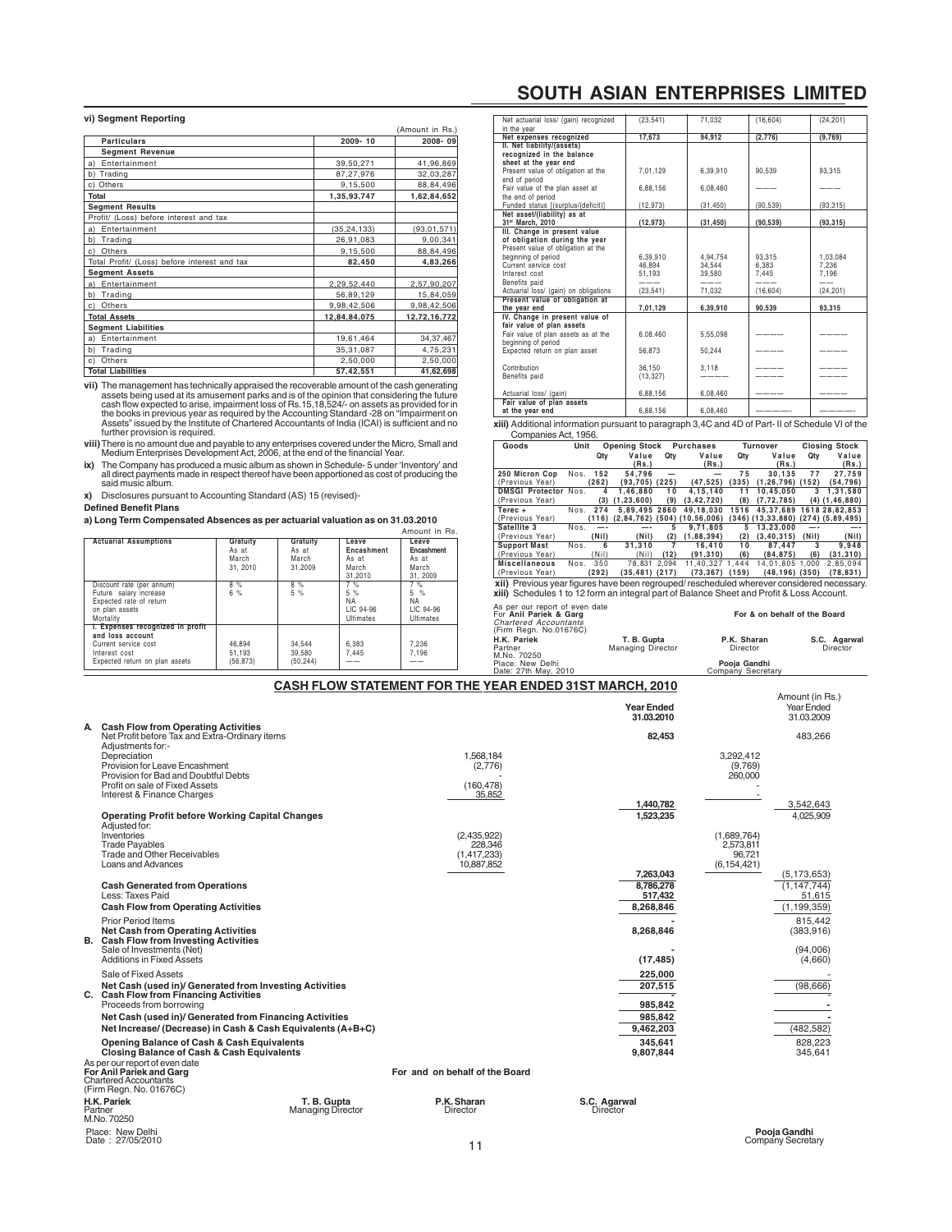# **vi) Segment Reporting**

|                                              |               | (Amount in Rs.) |
|----------------------------------------------|---------------|-----------------|
| <b>Particulars</b>                           | 2009-10       | 2008-09         |
| <b>Segment Revenue</b>                       |               |                 |
| Entertainment<br>a)                          | 39,50,271     | 41,96,869       |
| b) Trading                                   | 87,27,976     | 32,03,287       |
| c) Others                                    | 9,15,500      | 88,84,496       |
| Total                                        | 1,35,93,747   | 1,62,84,652     |
| <b>Segment Results</b>                       |               |                 |
| Profit/ (Loss) before interest and tax       |               |                 |
| a) Entertainment                             | (35, 24, 133) | (93, 01, 571)   |
| b) Trading                                   | 26,91,083     | 9,00,341        |
| c) Others                                    | 9,15,500      | 88,84,496       |
| Total Profit/ (Loss) before interest and tax | 82,450        | 4,83,266        |
| <b>Segment Assets</b>                        |               |                 |
| a) Entertainment                             | 2,29,52,440   | 2,57,90,207     |
| b) Trading                                   | 56,89,129     | 15,84,059       |
| c) Others                                    | 9,98,42,506   | 9,98,42,506     |
| <b>Total Assets</b>                          | 12,84,84,075  | 12,72,16,772    |
| <b>Segment Liabilities</b>                   |               |                 |
| a) Entertainment                             | 19,61,464     | 34, 37, 467     |
| Trading<br>b)                                | 35, 31, 087   | 4,75,231        |
| Others<br>c)                                 | 2,50,000      | 2,50,000        |
| <b>Total Liabilities</b>                     | 57,42,551     | 41,62,698       |

**vii)** The management has technically appraised the recoverable amount of the cash generating assets being used at its amusement parks and is of the opinion that considering the future cash flow expected to arise, impairme

**viii)** There is no amount due and payable to any enterprises covered under the Micro, Small and<br>Medium Enterprises Development Act, 2006, at the end of the financial Year.<br> **ix)** The Company has produced a music album as

**x)** Disclosures pursuant to Accounting Standard (AS) 15 (revised)-

# **Defined Benefit Plans**

**a) Long Term Compensated Absences as per actuarial valuation as on 31.03.2010**

|                                                                                                                                 |                                        |                                       |                                                  | Amount in Rs.                                      |
|---------------------------------------------------------------------------------------------------------------------------------|----------------------------------------|---------------------------------------|--------------------------------------------------|----------------------------------------------------|
| <b>Actuarial Assumptions</b>                                                                                                    | Gratuity<br>As at<br>March<br>31, 2010 | Gratuity<br>As at<br>March<br>31,2009 | Leave<br>Encashment<br>As at<br>March<br>31.2010 | Leave<br>Encashment<br>As at<br>March<br>31, 2009  |
| Discount rate (per annum)<br>Future salary increase<br>Expected rate of return<br>on plan assets<br>Mortality                   | 8%<br>6%                               | 8%<br>5%                              | 7%<br>5 %<br>NA<br>LIC 94-96<br><b>Ultimates</b> | 7%<br>$5\%$<br>NA<br>LIC 94-96<br><b>Ultimates</b> |
| I. Expenses recognized in profit<br>and loss account<br>Current service cost<br>Interest cost<br>Expected return on plan assets | 46.894<br>51.193<br>(56, 873)          | 34.544<br>39,580<br>(50, 244)         | 6.383<br>7.445                                   | 7.236<br>7.196                                     |

# **SOUTH ASIAN ENTERPRISES LIMITED**

| Net actuarial loss/ (gain) recognized<br>in the year                                                | (23.541)                     | 71,032                       | (16, 604)                | (24.201)                   |
|-----------------------------------------------------------------------------------------------------|------------------------------|------------------------------|--------------------------|----------------------------|
| Net expenses recognized                                                                             | 17,673                       | 94,912                       | (2,776)                  | (9,769)                    |
| II. Net liability/(assets)<br>recognized in the balance<br>sheet at the year end                    |                              |                              |                          |                            |
| Present value of obligation at the<br>end of period                                                 | 7,01,129                     | 6,39,910                     | 90,539                   | 93,315                     |
| Fair value of the plan asset at<br>the end of period                                                | 6.88.156                     | 6.08.460                     |                          |                            |
| Funded status [(surplus/(deficit)]                                                                  | (12, 973)                    | (31, 450)                    | (90, 539)                | (93, 315)                  |
| Net asset/(liability) as at<br>31st March. 2010                                                     | (12, 973)                    | (31, 450)                    | (90, 539)                | (93, 315)                  |
| III. Change in present value<br>of obligation during the year<br>Present value of obligation at the |                              |                              |                          |                            |
| beginning of period<br>Current service cost<br>Interest cost<br>Benefits paid                       | 6.39.910<br>46.894<br>51.193 | 4.94.754<br>34.544<br>39,580 | 93.315<br>6.383<br>7.445 | 1.03.084<br>7.236<br>7.196 |
| Actuarial loss/ (gain) on obligations                                                               | (23, 541)                    | 71.032                       | (16.604)                 | (24, 201)                  |
| Present value of obligation at                                                                      |                              |                              |                          |                            |
| the year end                                                                                        | 7,01,129                     | 6,39,910                     | 90.539                   | 93,315                     |
| IV. Change in present value of<br>fair value of plan assets                                         |                              |                              |                          |                            |
| Fair value of plan assets as at the<br>beginning of period                                          | 6.08.460                     | 5,55,098                     |                          |                            |
| Expected return on plan asset                                                                       | 56,873                       | 50,244                       |                          |                            |
| Contribution<br>Benefits paid                                                                       | 36.150<br>(13, 327)          | 3,118                        |                          |                            |
| Actuarial loss/ (gain)                                                                              | 6,88,156                     | 6,08,460                     |                          |                            |
| Fair value of plan assets<br>at the year end                                                        | 6.88.156                     | 6.08.460                     |                          |                            |

**xiii)** Additional information pursuant to paragraph 3,4C and 4D of Part- II of Schedule VI of the Companies Act, 1956.

| Goods                                                                                            | Unit |       | <b>Opening Stock</b> |       | <b>Purchases</b>                   |       | <b>Turnover</b>                            |                   | <b>Closing Stock</b> |
|--------------------------------------------------------------------------------------------------|------|-------|----------------------|-------|------------------------------------|-------|--------------------------------------------|-------------------|----------------------|
|                                                                                                  |      | Qty   | Value                | Qtv   | Value                              | Qty   | Value                                      | Qtv               | Value                |
|                                                                                                  |      |       | (Rs.)                |       | (Rs.)                              |       | (Rs.)                                      |                   | (Rs.)                |
| 250 Micron Cop                                                                                   | Nos. | 152   | 54.796               |       |                                    | 75    | 30.135                                     | 77                | 27.759               |
| (Previous Year)                                                                                  |      | (262) | (93,705) (225)       |       | (47.525)                           | (335) | (1.26.796)                                 | (152)             | (54.796)             |
| <b>DMSGI Protector</b>                                                                           | Nos. | 4     | 1.46.880             | 10    | 4.15.140                           | 11    | 10.45.050                                  | 3                 | 1.31.580             |
| (Previous Year)                                                                                  |      | (3)   | (1, 23, 600)         | (9)   | (3, 42, 720)                       | (8)   | (7.72.785)                                 |                   | $(4)$ $(1, 46, 880)$ |
| Terec +                                                                                          | Nos. | 274   | 5.89.495 2860        |       | 49.18.030                          | 1516  | 45.37.689                                  |                   | 1618 28.82.853       |
| (Previous Year)                                                                                  |      | (116) |                      |       | $(2,84,762)$ $(504)$ $(10,56,006)$ |       | $(346)$ $(13,33,880)$ $(274)$ $(5,89,495)$ |                   |                      |
| Satellite 3                                                                                      | Nos. |       |                      |       | 9.71.805                           | 5     | 13.23.000                                  |                   |                      |
| (Previous Year)                                                                                  |      | (Nii) | (Nil)                | (2)   | (1.88.394)                         | (2)   | (3.40.315)                                 | (N <sub>i</sub> ) | (Nil)                |
| <b>Support Mast</b>                                                                              | Nos. | 6     | 31.310               |       | 16.410                             | 10    | 87.447                                     | 3                 | 9.948                |
| (Previous Year)                                                                                  |      | (Nil) | (Nil)                | (12)  | (91.310)                           | (6)   | (84.875)                                   | (6)               | (31.310)             |
| <b>Miscellaneous</b>                                                                             | Nos. | 350   | 78.831               | 2.094 | 11.40.327 1.444                    |       | 14.01.805 1.000                            |                   | 2.85.094             |
| (Previous Year)                                                                                  |      | (292) | (35.481) (217)       |       | (73.367)                           | (159) | $(48, 196)$ $(350)$                        |                   | (78, 831)            |
| xii) Previous year figures have been regrouped/rescheduled wherever considered necessary.        |      |       |                      |       |                                    |       |                                            |                   |                      |
| <b>xiii)</b> Schedules 1 to 12 form an integral part of Balance Sheet and Profit & Loss Account. |      |       |                      |       |                                    |       |                                            |                   |                      |

| For Anil Pariek & Garg<br><b>Chartered Accountants</b><br>(Firm Regn. No.01676C) |                                                             | For & on behalf of the Board |
|----------------------------------------------------------------------------------|-------------------------------------------------------------|------------------------------|
| H.K. Pariek<br>Partner<br>M.No. 70250                                            | P.K. Sharan<br>T. B. Gupta<br>Managing Director<br>Director | S.C. Agarwal<br>Director     |
| Place: New Delhi<br>Date: 27th May, 2010                                         | Pooja Gandhi<br>Company Secretary                           |                              |

# **CASH FLOW STATEMENT FOR THE YEAR ENDED 31ST MARCH, 2010**

|                                                                                                                                                                                          |                                                     | <b>Year Ended</b><br>31.03.2010   |                                                     | Amount (in Rs.)<br>Year Ended<br>31.03.2009  |
|------------------------------------------------------------------------------------------------------------------------------------------------------------------------------------------|-----------------------------------------------------|-----------------------------------|-----------------------------------------------------|----------------------------------------------|
| A Cash Flow from Operating Activities<br>Net Profit before Tax and Extra-Ordinary items<br>Adjustments for:-                                                                             |                                                     | 82.453                            |                                                     | 483.266                                      |
| Depreciation<br>Provision for Leave Encashment<br>Provision for Bad and Doubtful Debts<br>Profit on sale of Fixed Assets<br>Interest & Finance Charges                                   | 1.568.184<br>(2,776)<br>(160.478)<br>35.852         |                                   | 3.292.412<br>(9,769)<br>260,000                     |                                              |
|                                                                                                                                                                                          |                                                     | 1.440.782                         |                                                     | 3.542.643                                    |
| <b>Operating Profit before Working Capital Changes</b><br>Adjusted for:                                                                                                                  |                                                     | 1,523,235                         |                                                     | 4.025.909                                    |
| Inventories<br><b>Trade Payables</b><br><b>Trade and Other Receivables</b><br>Loans and Advances                                                                                         | (2,435,922)<br>228,346<br>(1.417.233)<br>10,887,852 |                                   | (1,689,764)<br>2.573.811<br>96.721<br>(6, 154, 421) |                                              |
| <b>Cash Generated from Operations</b><br>Less: Taxes Paid                                                                                                                                |                                                     | 7,263,043<br>8.786.278<br>517,432 |                                                     | (5, 173, 653)<br>(1.147.744)<br>51,615       |
| <b>Cash Flow from Operating Activities</b>                                                                                                                                               |                                                     | 8,268,846                         |                                                     | (1, 199, 359)                                |
| <b>Prior Period Items</b><br><b>Net Cash from Operating Activities</b><br><b>B.</b> Cash Flow from Investing Activities<br>Sale of Investments (Net)<br><b>Additions in Fixed Assets</b> |                                                     | 8,268,846<br>(17, 485)            |                                                     | 815,442<br>(383, 916)<br>(94,006)<br>(4,660) |
| Sale of Fixed Assets                                                                                                                                                                     |                                                     | 225,000                           |                                                     |                                              |
| Net Cash (used in)/ Generated from Investing Activities<br>C. Cash Flow from Financing Activities                                                                                        |                                                     | 207,515                           |                                                     | (98, 666)                                    |
| Proceeds from borrowing                                                                                                                                                                  |                                                     | 985,842<br>985.842                |                                                     |                                              |
| Net Cash (used in)/ Generated from Financing Activities<br>Net Increase/ (Decrease) in Cash & Cash Equivalents (A+B+C)                                                                   |                                                     | 9,462,203                         |                                                     | (482, 582)                                   |
| Opening Balance of Cash & Cash Equivalents<br>Closing Balance of Cash & Cash Equivalents                                                                                                 |                                                     | 345.641<br>9,807,844              |                                                     | 828,223<br>345,641                           |
| As per our report of even date<br>For Anil Pariek and Garg<br><b>Chartered Accountants</b><br>(Firm Regn. No. 01676C)                                                                    | For and on behalf of the Board                      |                                   |                                                     |                                              |
| H.K. Pariek<br>T. B. Gupta<br>Partner<br><b>Managing Director</b><br>M.No. 70250                                                                                                         | P.K. Sharan<br>Director                             | S.C. Agarwal<br>Director          |                                                     |                                              |

Place: New Delhi<br>Date: 27/05/2010